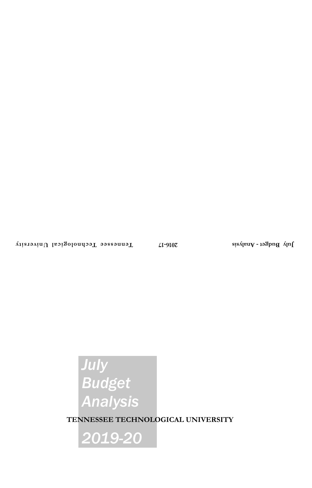# *July Budget Analysis*

**TENNESSEE TECHNOLOGICAL UNIVERSITY**

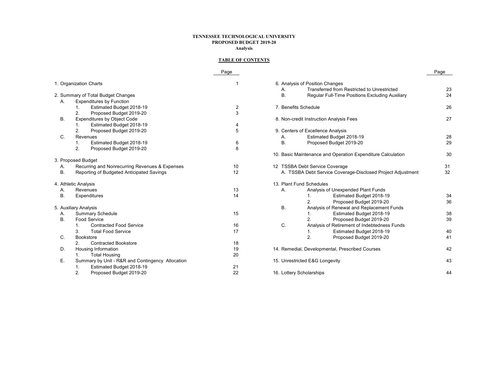## **TENNESSEE TECHNOLOGICAL UNIVERSITYPROPOSED BUDGET 2019-20 Analysis**

## **TABLE OF CONTENTS**

|           |                                                  | Page |                                                              | Page |
|-----------|--------------------------------------------------|------|--------------------------------------------------------------|------|
|           | 1. Organization Charts                           |      | 6. Analysis of Position Changes                              |      |
|           |                                                  |      | Transferred from Restricted to Unrestricted<br>А.            | 23   |
|           | 2. Summary of Total Budget Changes               |      | <b>B.</b><br>Regular Full-Time Positions Excluding Auxiliary | 24   |
| А.        | <b>Expenditures by Function</b>                  |      |                                                              |      |
|           | Estimated Budget 2018-19<br>1.                   | 2    | 7. Benefits Schedule                                         | 26   |
|           | 2.<br>Proposed Budget 2019-20                    | 3    |                                                              |      |
| <b>B.</b> | <b>Expenditures by Object Code</b>               |      | 8. Non-credit Instruction Analysis Fees                      | 27   |
|           | Estimated Budget 2018-19<br>1.                   |      |                                                              |      |
|           | 2.<br>Proposed Budget 2019-20                    | 5    | 9. Centers of Excellence Analysis                            |      |
| C.        | Revenues                                         |      | Estimated Budget 2018-19<br>Α.                               | 28   |
|           | Estimated Budget 2018-19<br>1.                   | 6    | <b>B.</b><br>Proposed Budget 2019-20                         | 29   |
|           | 2.<br>Proposed Budget 2019-20                    | 8    |                                                              |      |
|           |                                                  |      | 10. Basic Maintenance and Operation Expenditure Calculation  | 30   |
|           | 3. Proposed Budget                               |      |                                                              |      |
| А.        | Recurring and Nonrecurring Revenues & Expenses   | 10   | 12 TSSBA Debt Service Coverage                               | 31   |
| В.        | Reporting of Budgeted Anticipated Savings        | 12   | A. TSSBA Debt Service Coverage-Disclosed Project Adjustment  | 32   |
|           | 4. Athletic Analysis                             |      | 13. Plant Fund Schedules                                     |      |
| А.        | Revenues                                         | 13   | Analysis of Unexpended Plant Funds<br>А.                     |      |
| В.        | Expenditures                                     | 14   | Estimated Budget 2018-19<br>1.                               | 34   |
|           |                                                  |      | Proposed Budget 2019-20                                      | 36   |
|           | 5. Auxiliary Analysis                            |      | В.<br>Analysis of Renewal and Replacement Funds              |      |
| Α.        | <b>Summary Schedule</b>                          | 15   | Estimated Budget 2018-19<br>1.                               | 38   |
| Β.        | Food Service                                     |      | 2.<br>Proposed Budget 2019-20                                | 39   |
|           | <b>Contracted Food Service</b><br>$\mathbf{1}$ . | 16   | C.<br>Analysis of Retirement of Indebtedness Funds           |      |
|           | <b>Total Food Service</b><br>3.                  | 17   | Estimated Budget 2018-19<br>1.                               | 40   |
| C.        | <b>Bookstore</b>                                 |      | 2.<br>Proposed Budget 2019-20                                | 41   |
|           | <b>Contracted Bookstore</b><br>2.                | 18   |                                                              |      |
| D.        | Housing Information                              | 19   | 14. Remedial, Developmental, Prescribed Courses              | 42   |
|           | <b>Total Housing</b><br>1.                       | 20   |                                                              |      |
| Е.        | Summary by Unit - R&R and Contingency Allocation |      | 15. Unrestricted E&G Longevity                               | 43   |
|           | Estimated Budget 2018-19<br>1.                   | 21   |                                                              |      |
|           | 2.<br>Proposed Budget 2019-20                    | 22   | 16. Lottery Scholarships                                     | 44   |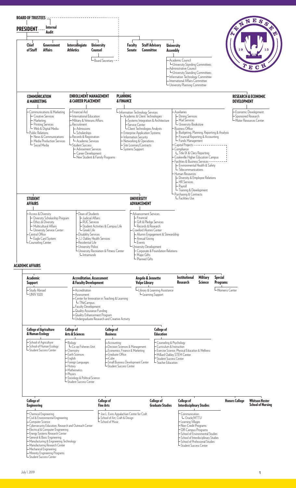

Manufacturing Research Center Mechanical Engineering

Minority Engineering Programs

Student Success Center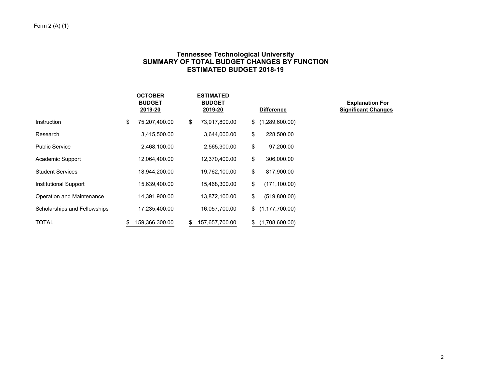# **Tennessee Technological University SUMMARY OF TOTAL BUDGET CHANGES BY FUNCTION ESTIMATED BUDGET 2018-19**

|                              | <b>OCTOBER</b><br><b>BUDGET</b><br>2019-20 | <b>ESTIMATED</b><br><b>BUDGET</b><br>2019-20 |     | <b>Difference</b> | <b>Explanation For</b><br><b>Significant Changes</b> |
|------------------------------|--------------------------------------------|----------------------------------------------|-----|-------------------|------------------------------------------------------|
| Instruction                  | \$<br>75,207,400.00                        | \$<br>73,917,800.00                          | \$  | (1,289,600.00)    |                                                      |
| Research                     | 3,415,500.00                               | 3,644,000.00                                 | \$  | 228,500.00        |                                                      |
| <b>Public Service</b>        | 2,468,100.00                               | 2,565,300.00                                 | \$  | 97,200.00         |                                                      |
| Academic Support             | 12,064,400.00                              | 12,370,400.00                                | \$  | 306,000.00        |                                                      |
| <b>Student Services</b>      | 18,944,200.00                              | 19,762,100.00                                | \$  | 817,900.00        |                                                      |
| Institutional Support        | 15,639,400.00                              | 15,468,300.00                                | \$  | (171, 100.00)     |                                                      |
| Operation and Maintenance    | 14,391,900.00                              | 13,872,100.00                                | \$  | (519,800.00)      |                                                      |
| Scholarships and Fellowships | 17,235,400.00                              | 16,057,700.00                                | \$  | (1, 177, 700.00)  |                                                      |
| <b>TOTAL</b>                 | 159,366,300.00                             | \$<br>157,657,700.00                         | \$. | (1,708,600.00)    |                                                      |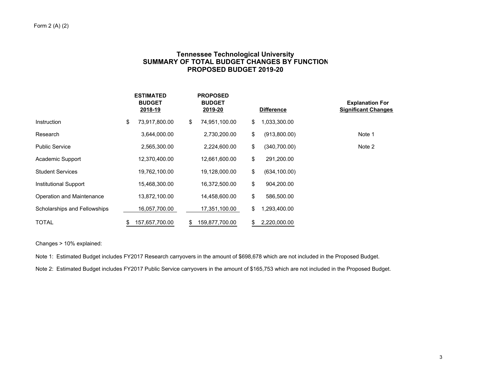# **Tennessee Technological University SUMMARY OF TOTAL BUDGET CHANGES BY FUNCTION PROPOSED BUDGET 2019-20**

|                              | <b>ESTIMATED</b><br><b>BUDGET</b><br>2018-19 | <b>PROPOSED</b><br><b>BUDGET</b><br>2019-20 | <b>Difference</b>   | <b>Explanation For</b><br><b>Significant Changes</b> |
|------------------------------|----------------------------------------------|---------------------------------------------|---------------------|------------------------------------------------------|
| Instruction                  | \$<br>73,917,800.00                          | \$<br>74,951,100.00                         | \$<br>1,033,300.00  |                                                      |
| Research                     | 3,644,000.00                                 | 2,730,200.00                                | \$<br>(913,800.00)  | Note 1                                               |
| <b>Public Service</b>        | 2,565,300.00                                 | 2,224,600.00                                | \$<br>(340,700.00)  | Note 2                                               |
| Academic Support             | 12,370,400.00                                | 12,661,600.00                               | \$<br>291,200.00    |                                                      |
| <b>Student Services</b>      | 19,762,100.00                                | 19,128,000.00                               | \$<br>(634, 100.00) |                                                      |
| Institutional Support        | 15,468,300.00                                | 16,372,500.00                               | \$<br>904,200.00    |                                                      |
| Operation and Maintenance    | 13,872,100.00                                | 14,458,600.00                               | \$<br>586,500.00    |                                                      |
| Scholarships and Fellowships | 16,057,700.00                                | 17,351,100.00                               | \$<br>1,293,400.00  |                                                      |
| TOTAL                        | \$<br>157,657,700.00                         | \$<br>159,877,700.00                        | \$<br>2,220,000.00  |                                                      |

Changes > 10% explained:

Note 1: Estimated Budget includes FY2017 Research carryovers in the amount of \$698,678 which are not included in the Proposed Budget.

Note 2: Estimated Budget includes FY2017 Public Service carryovers in the amount of \$165,753 which are not included in the Proposed Budget.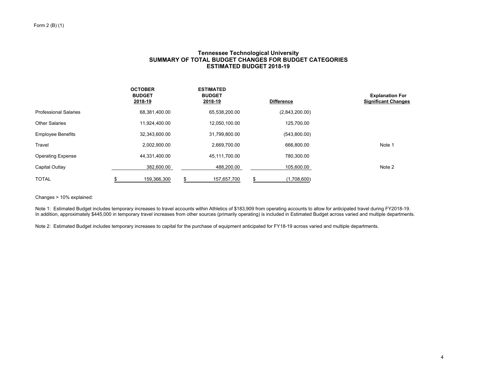## **Tennessee Technological University SUMMARY OF TOTAL BUDGET CHANGES FOR BUDGET CATEGORIES ESTIMATED BUDGET 2018-19**

|                              | <b>OCTOBER</b><br><b>BUDGET</b><br>2018-19 | <b>ESTIMATED</b><br><b>BUDGET</b><br>2018-19 | <b>Difference</b> | <b>Explanation For</b><br><b>Significant Changes</b> |
|------------------------------|--------------------------------------------|----------------------------------------------|-------------------|------------------------------------------------------|
| <b>Professional Salaries</b> | 68,381,400.00                              | 65,538,200.00                                | (2,843,200.00)    |                                                      |
| Other Salaries               | 11,924,400.00                              | 12,050,100.00                                | 125,700.00        |                                                      |
| <b>Employee Benefits</b>     | 32,343,600.00                              | 31,799,800.00                                | (543,800.00)      |                                                      |
| Travel                       | 2,002,900.00                               | 2,669,700.00                                 | 666,800.00        | Note 1                                               |
| <b>Operating Expense</b>     | 44,331,400.00                              | 45.111.700.00                                | 780,300.00        |                                                      |
| Capital Outlay               | 382,600.00                                 | 488,200.00                                   | 105,600.00        | Note 2                                               |
| <b>TOTAL</b>                 | 159,366,300                                | 157,657,700                                  | (1,708,600)       |                                                      |

Changes > 10% explained:

Note 1: Estimated Budget includes temporary increases to travel accounts within Athletics of \$183,909 from operating accounts to allow for anticipated travel during FY2018-19. In addition, approximately \$445,000 in temporary travel increases from other sources (primarily operating) is included in Estimated Budget across varied and multiple departments.

Note 2: Estimated Budget includes temporary increases to capital for the purchase of equipment anticipated for FY18-19 across varied and multiple departments.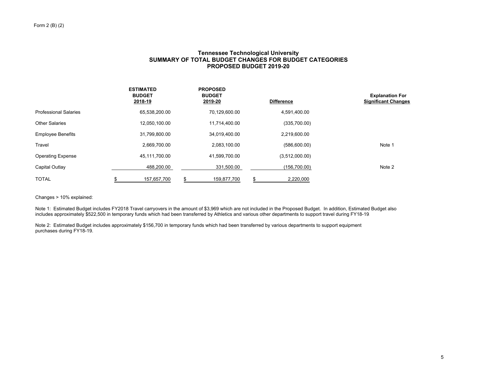## **Tennessee Technological University SUMMARY OF TOTAL BUDGET CHANGES FOR BUDGET CATEGORIES PROPOSED BUDGET 2019-20**

|                              | <b>ESTIMATED</b><br><b>BUDGET</b><br>2018-19 | <b>PROPOSED</b><br><b>BUDGET</b><br>2019-20 | <b>Difference</b> | <b>Explanation For</b><br><b>Significant Changes</b> |
|------------------------------|----------------------------------------------|---------------------------------------------|-------------------|------------------------------------------------------|
| <b>Professional Salaries</b> | 65,538,200.00                                | 70,129,600.00                               | 4,591,400.00      |                                                      |
| Other Salaries               | 12,050,100.00                                | 11,714,400.00                               | (335,700.00)      |                                                      |
| <b>Employee Benefits</b>     | 31,799,800.00                                | 34,019,400.00                               | 2,219,600.00      |                                                      |
| Travel                       | 2,669,700.00                                 | 2,083,100.00                                | (586,600.00)      | Note 1                                               |
| <b>Operating Expense</b>     | 45,111,700.00                                | 41.599.700.00                               | (3,512,000.00)    |                                                      |
| Capital Outlay               | 488.200.00                                   | 331,500.00                                  | (156,700.00)      | Note 2                                               |
| <b>TOTAL</b>                 | 157,657,700                                  | 159,877,700                                 | 2,220,000         |                                                      |

Changes > 10% explained:

Note 1: Estimated Budget includes FY2018 Travel carryovers in the amount of \$3,969 which are not included in the Proposed Budget. In addition, Estimated Budget also includes approximately \$522,500 in temporary funds which had been transferred by Athletics and various other departments to support travel during FY18-19.

Note 2: Estimated Budget includes approximately \$156,700 in temporary funds which had been transferred by various departments to support equipment purchases during FY18-19.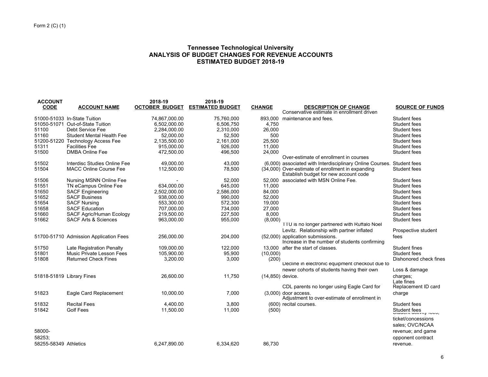## **Tennessee Technological University ANALYSIS OF BUDGET CHANGES FOR REVENUE ACCOUNTS ESTIMATED BUDGET 2018-19**

| <b>ACCOUNT</b><br><b>CODE</b> | <b>ACCOUNT NAME</b>                    | 2018-19<br><b>OCTOBER BUDGET</b> | 2018-19<br><b>ESTIMATED BUDGET</b> | <b>CHANGE</b>    | <b>DESCRIPTION OF CHANGE</b>                                                               | <b>SOURCE OF FUNDS</b>                  |
|-------------------------------|----------------------------------------|----------------------------------|------------------------------------|------------------|--------------------------------------------------------------------------------------------|-----------------------------------------|
|                               |                                        |                                  |                                    |                  | Conservative estimate in enrollment driven                                                 |                                         |
|                               | 51000-51033 In-State Tuition           | 74,867,000.00                    | 75,760,000                         | 893.000          | maintenance and fees.                                                                      | Student fees                            |
|                               | 51050-51071 Out-of-State Tuition       | 6.502.000.00                     | 6.506.750                          | 4.750            |                                                                                            | Student fees                            |
| 51100                         | <b>Debt Service Fee</b>                | 2,284,000.00                     | 2,310,000                          | 26,000           |                                                                                            | Student fees                            |
| 51160                         | <b>Student Mental Health Fee</b>       | 52,000.00                        | 52,500                             | 500              |                                                                                            | Student fees                            |
|                               | 51200-51220 Technology Access Fee      | 2,135,500.00                     | 2.161.000                          | 25,500           |                                                                                            | Student fees                            |
| 51311                         | <b>Facilities Fee</b>                  | 915,000.00                       | 926,000                            | 11,000           |                                                                                            | Student fees                            |
| 51500                         | <b>DMBA Online Fee</b>                 | 472,500.00                       | 496,500                            | 24,000           |                                                                                            | Student fees                            |
|                               |                                        |                                  |                                    |                  | Over-estimate of enrollment in courses                                                     |                                         |
| 51502                         | Interdisc Studies Online Fee           | 49.000.00                        | 43.000                             |                  | (6,000) associated with Interdisciplinary Online Courses. Student fees                     |                                         |
| 51504                         | <b>MACC Online Course Fee</b>          | 112,500.00                       | 78,500                             |                  | (34,000) Over-estimate of enrollment in expanding<br>Establish budget for new account code | Student fees                            |
| 51506                         | Nursing MSNN Online Fee                |                                  | 52.000                             |                  | 52,000 associated with MSN Online Fee.                                                     | Student fees                            |
| 51551                         | TN eCampus Online Fee                  | 634.000.00                       | 645.000                            | 11.000           |                                                                                            | Student fees                            |
| 51650                         | <b>SACF Engineering</b>                | 2,502,000.00                     | 2,586,000                          | 84,000           |                                                                                            | Student fees                            |
| 51652                         | <b>SACF Business</b>                   | 938,000.00                       | 990,000                            | 52,000           |                                                                                            | Student fees                            |
| 51654                         | <b>SACF Nursing</b>                    | 553,300.00                       | 572,300                            | 19,000           |                                                                                            | Student fees                            |
| 51658                         | <b>SACF Education</b>                  | 707,000.00                       | 734,000                            | 27,000           |                                                                                            | Student fees                            |
| 51660                         | SACF Agric/Human Ecology               | 219,500.00                       | 227,500                            | 8,000            |                                                                                            | Student fees                            |
| 51662                         | <b>SACF Arts &amp; Sciences</b>        | 963,000.00                       | 955,000                            | (8,000)          | TTU is no longer partnered with Ruffalo Noel                                               | Student fees                            |
|                               |                                        |                                  |                                    |                  | Levitz. Relationship with partner inflated                                                 | Prospective student                     |
|                               | 51700-51710 Admission Application Fees | 256,000.00                       | 204,000                            |                  | (52,000) application submissions.<br>Increase in the number of students confirming         | fees                                    |
| 51750                         | Late Registration Penalty              | 109.000.00                       | 122,000                            |                  | 13,000 after the start of classes.                                                         | Student fines                           |
| 51801                         | Music Private Lesson Fees              | 105,900.00                       | 95,900                             | (10,000)         |                                                                                            | Student fees                            |
| 51808                         | <b>Returned Check Fines</b>            | 3,200.00                         | 3,000                              | (200)            |                                                                                            | Dishonored check fines                  |
|                               |                                        |                                  |                                    |                  | Decline in electronic equipment checkout due to                                            |                                         |
|                               |                                        |                                  |                                    |                  | newer cohorts of students having their own                                                 | Loss & damage                           |
| 51818-51819 Library Fines     |                                        | 26,600.00                        | 11,750                             | (14,850) device. |                                                                                            | charges;<br>Late fines                  |
|                               |                                        |                                  |                                    |                  | CDL parents no longer using Eagle Card for                                                 | Replacement ID card                     |
| 51823                         | Eagle Card Replacement                 | 10,000.00                        | 7,000                              |                  | $(3,000)$ door access.<br>Adjustment to over-estimate of enrollment in                     | charge                                  |
| 51832                         | <b>Recital Fees</b>                    | 4,400.00                         | 3,800                              |                  | (600) recital courses.                                                                     | Student fees                            |
| 51842                         | <b>Golf Fees</b>                       | 11,500.00                        | 11,000                             | (500)            |                                                                                            | Student fees<br>Utuuunti autrinin 1000, |
|                               |                                        |                                  |                                    |                  |                                                                                            | ticket/concessions                      |
|                               |                                        |                                  |                                    |                  |                                                                                            | sales; OVC/NCAA                         |
| 58000-                        |                                        |                                  |                                    |                  |                                                                                            | revenue; and game                       |
| 58253:                        |                                        |                                  |                                    |                  |                                                                                            | opponent contract                       |
| 58255-58349 Athletics         |                                        | 6.247.890.00                     | 6.334.620                          | 86.730           |                                                                                            | revenue.                                |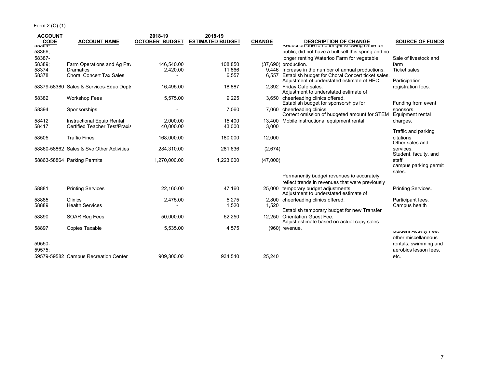| <b>ACCOUNT</b>  |                                          | 2018-19               | 2018-19                 |               |                                                                                                      |                                    |
|-----------------|------------------------------------------|-----------------------|-------------------------|---------------|------------------------------------------------------------------------------------------------------|------------------------------------|
| CODE<br>-20304- | <b>ACCOUNT NAME</b>                      | <b>OCTOBER BUDGET</b> | <b>ESTIMATED BUDGET</b> | <b>CHANGE</b> | <b>DESCRIPTION OF CHANGE</b><br>Requetion que to no longer showing cattle for                        | <b>SOURCE OF FUNDS</b>             |
| 58366;          |                                          |                       |                         |               | public, did not have a bull sell this spring and no                                                  |                                    |
| 58387-          |                                          |                       |                         |               | longer renting Waterloo Farm for vegetable                                                           | Sale of livestock and              |
| 58389;          | Farm Operations and Ag Pav               | 146,540.00            | 108,850                 |               | (37,690) production.                                                                                 | farm                               |
| 58374           | Dramatics                                | 2,420.00              | 11,866                  |               | 9,446 Increase in the number of annual productions.                                                  | <b>Ticket sales</b>                |
| 58378           | <b>Choral Concert Tax Sales</b>          |                       | 6,557                   |               | 6,557 Establish budget for Choral Concert ticket sales.<br>Adjustment of understated estimate of HEC | Participation                      |
|                 | 58379-58380 Sales & Services-Educ Depts  | 16.495.00             | 18.887                  |               | 2.392 Friday Café sales.<br>Adjustment to understated estimate of                                    | registration fees.                 |
| 58382           | <b>Workshop Fees</b>                     | 5.575.00              | 9,225                   |               | 3,650 cheerleading clinics offered.<br>Establish budget for sponsorships for                         | Funding from event                 |
| 58394           | Sponsorships                             |                       | 7,060                   |               | 7,060 cheerleading clinics.<br>Correct omission of budgeted amount for STEM                          | sponsors.<br>Equipment rental      |
| 58412           | Instructional Equip Rental               | 2.000.00              | 15.400                  |               | 13,400 Mobile instructional equipment rental                                                         | charges.                           |
| 58417           | <b>Certified Teacher Test/Praxis</b>     | 40.000.00             | 43,000                  | 3,000         |                                                                                                      |                                    |
|                 |                                          |                       |                         |               |                                                                                                      | Traffic and parking                |
| 58505           | <b>Traffic Fines</b>                     | 168,000.00            | 180,000                 | 12,000        |                                                                                                      | citations<br>Other sales and       |
|                 | 58860-58862 Sales & Syc Other Activities | 284,310.00            | 281,636                 | (2,674)       |                                                                                                      | services.<br>Student, faculty, and |
|                 | 58863-58864 Parking Permits              | 1,270,000.00          | 1,223,000               | (47,000)      |                                                                                                      | staff<br>campus parking permit     |
|                 |                                          |                       |                         |               |                                                                                                      | sales.                             |
|                 |                                          |                       |                         |               | Permanently budget revenues to accurately                                                            |                                    |
|                 |                                          |                       |                         |               | reflect trends in revenues that were previously                                                      |                                    |
| 58881           | <b>Printing Services</b>                 | 22.160.00             | 47,160                  |               | 25,000 temporary budget adjustments.<br>Adjustment to understated estimate of                        | Printing Services.                 |
| 58885           | Clinics                                  | 2,475.00              | 5,275                   |               | 2,800 cheerleading clinics offered.                                                                  | Participant fees.                  |
| 58889           | <b>Health Services</b>                   |                       | 1,520                   | 1.520         |                                                                                                      | Campus health                      |
|                 |                                          |                       |                         |               | Establish temporary budget for new Transfer                                                          |                                    |
| 58890           | SOAR Reg Fees                            | 50,000.00             | 62,250                  | 12,250        | <b>Orientation Guest Fee.</b><br>Adjust estimate based on actual copy sales                          |                                    |
| 58897           | <b>Copies Taxable</b>                    | 5,535.00              | 4,575                   |               | (960) revenue.                                                                                       | OIUUCHII AUUVILY FEE,              |
|                 |                                          |                       |                         |               |                                                                                                      | other miscellaneous                |
| 59550-          |                                          |                       |                         |               |                                                                                                      | rentals, swimming and              |
| 59575:          |                                          |                       |                         |               |                                                                                                      | aerobics lesson fees.              |
|                 | 59579-59582 Campus Recreation Center     | 909,300.00            | 934,540                 | 25,240        |                                                                                                      | etc.                               |
|                 |                                          |                       |                         |               |                                                                                                      |                                    |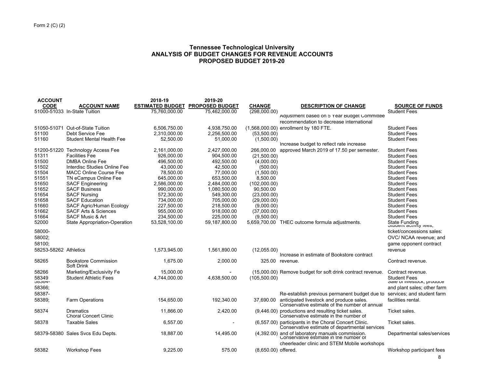# **Tennessee Technological University ANALYSIS OF BUDGET CHANGES FOR REVENUE ACCOUNTS PROPOSED BUDGET 2019-20**

| <b>ACCOUNT</b>        |                                                             | 2018-19                  | 2019-20                  |                            |                                                                                                         |                                                          |
|-----------------------|-------------------------------------------------------------|--------------------------|--------------------------|----------------------------|---------------------------------------------------------------------------------------------------------|----------------------------------------------------------|
| <b>CODE</b>           | <b>ACCOUNT NAME</b>                                         | <b>ESTIMATED BUDGET</b>  | <b>PROPOSED BUDGET</b>   | <b>CHANGE</b>              | <b>DESCRIPTION OF CHANGE</b>                                                                            | <b>SOURCE OF FUNDS</b>                                   |
|                       | 51000-51033 In-State Tuition                                | 75,760,000.00            | 75,462,000.00            | (298,000.00)               |                                                                                                         | <b>Student Fees</b>                                      |
|                       |                                                             |                          |                          |                            | Adjustment based on 5 Year Budget Committee                                                             |                                                          |
|                       |                                                             |                          |                          |                            | recommendation to decrease international                                                                |                                                          |
| 51050-51071           | Out-of-State Tuition                                        | 6,506,750.00             | 4.938.750.00             |                            | (1,568,000.00) enrollment by 180 FTE.                                                                   | <b>Student Fees</b>                                      |
| 51100                 | Debt Service Fee                                            | 2,310,000.00             | 2,256,500.00             | (53,500.00)                |                                                                                                         | <b>Student Fees</b>                                      |
| 51160                 | Student Mental Health Fee                                   | 52,500.00                | 51.000.00                | (1,500.00)                 |                                                                                                         | <b>Student Fees</b>                                      |
|                       |                                                             |                          |                          |                            | Increase budget to reflect rate increase                                                                |                                                          |
|                       | 51200-51220 Technology Access Fee                           | 2,161,000.00             | 2.427.000.00             | 266.000.00                 | approved March 2019 of 17.50 per semester.                                                              | <b>Student Fees</b>                                      |
| 51311                 | <b>Facilities Fee</b>                                       | 926.000.00               | 904.500.00               | (21,500.00)                |                                                                                                         | <b>Student Fees</b>                                      |
| 51500                 | <b>DMBA Online Fee</b>                                      | 496,500.00               | 492,500.00               | (4,000.00)                 |                                                                                                         | <b>Student Fees</b>                                      |
| 51502                 | Interdisc Studies Online Fee                                | 43.000.00                | 42.500.00                | (500.00)                   |                                                                                                         | <b>Student Fees</b>                                      |
| 51504                 | <b>MACC Online Course Fee</b>                               | 78,500.00                | 77,000.00                | (1,500.00)                 |                                                                                                         | <b>Student Fees</b>                                      |
| 51551                 | TN eCampus Online Fee                                       | 645,000.00               | 653,500.00               | 8,500.00                   |                                                                                                         | <b>Student Fees</b>                                      |
| 51650                 | <b>SACF Engineering</b>                                     | 2,586,000.00             | 2,484,000.00             | (102,000.00)               |                                                                                                         | <b>Student Fees</b>                                      |
| 51652                 | <b>SACF Business</b>                                        | 990,000.00               | 1,080,500.00             | 90,500.00                  |                                                                                                         | <b>Student Fees</b>                                      |
| 51654<br>51658        | <b>SACF Nursing</b><br><b>SACF Education</b>                | 572,300.00               | 549,300.00               | (23,000.00)<br>(29,000.00) |                                                                                                         | <b>Student Fees</b>                                      |
| 51660                 |                                                             | 734,000.00               | 705,000.00               |                            |                                                                                                         | <b>Student Fees</b><br><b>Student Fees</b>               |
| 51662                 | SACF Agric/Human Ecology<br><b>SACF Arts &amp; Sciences</b> | 227,500.00<br>955,000.00 | 218,500.00<br>918,000.00 | (9,000.00)<br>(37,000.00)  |                                                                                                         | <b>Student Fees</b>                                      |
| 51664                 | <b>SACF Music &amp; Art</b>                                 | 234,500.00               | 225,000.00               | (9,500.00)                 |                                                                                                         | <b>Student Fees</b>                                      |
| 52000                 | State Appropriation-Operation                               | 53,528,100.00            | 59,187,800.00            | 5,659,700.00               | THEC outcome formula adjustments.                                                                       |                                                          |
|                       |                                                             |                          |                          |                            |                                                                                                         | State Funding<br>उत्पवेदात बर्णागांगु । <del>२०</del> ०, |
| 58000-                |                                                             |                          |                          |                            |                                                                                                         | ticket/concessions sales:                                |
| 58002;                |                                                             |                          |                          |                            |                                                                                                         | OVC/ NCAA revenue; and                                   |
| 58100:                |                                                             |                          |                          |                            |                                                                                                         | game opponent contract                                   |
| 58253-58262 Athletics |                                                             | 1,573,945.00             | 1,561,890.00             | (12,055.00)                |                                                                                                         | revenue                                                  |
|                       |                                                             |                          |                          |                            | Increase in estimate of Bookstore contract                                                              |                                                          |
| 58265                 | <b>Bookstore Commission</b><br>Soft Drink                   | 1,675.00                 | 2,000.00                 | 325.00                     | revenue.                                                                                                | Contract revenue.                                        |
| 58266                 | Marketing/Exclusivity Fe                                    | 15.000.00                |                          |                            | (15,000.00) Remove budget for soft drink contract revenue.                                              | Contract revenue.                                        |
| 58349                 | <b>Student Athletic Fees</b>                                | 4,744,000.00             | 4,638,500.00             | (105, 500.00)              |                                                                                                         | <b>Student Fees</b>                                      |
| <b>JOJ04-</b>         |                                                             |                          |                          |                            |                                                                                                         | Sale Of Investock, produce                               |
| 58366;                |                                                             |                          |                          |                            |                                                                                                         | and plant sales; other farm                              |
| 58387-                |                                                             |                          |                          |                            | Re-establish previous permanent budget due to                                                           | services; and student farm                               |
| 58389;                | <b>Farm Operations</b>                                      | 154,650.00               | 192,340.00               |                            | 37,690.00 anticipated livestock and produce sales.                                                      | facilities rental.                                       |
|                       |                                                             |                          |                          |                            | Conservative estimate of the number of annual                                                           |                                                          |
| 58374                 | Dramatics<br><b>Choral Concert Clinic</b>                   | 11,866.00                | 2,420.00                 |                            | (9,446.00) productions and resulting ticket sales.<br>Conservative estimate in the number of            | Ticket sales.                                            |
| 58378                 | <b>Taxable Sales</b>                                        | 6,557.00                 |                          |                            | (6,557.00) participants in the Choral Concert Clinic.<br>Conservative estimate of departmental services | Ticket sales.                                            |
|                       | 58379-58380 Sales Svcs Edu Depts.                           | 18,887.00                | 14,495.00                |                            |                                                                                                         | Departmental sales/services                              |
|                       |                                                             |                          |                          |                            | (4,392.00) and of laboratory manuals commission.<br>Conservative estimate in the number of              |                                                          |
|                       |                                                             |                          |                          |                            | cheerleader clinic and STEM Mobile workshops                                                            |                                                          |
| 58382                 | <b>Workshop Fees</b>                                        | 9.225.00                 | 575.00                   | (8,650.00) offered.        |                                                                                                         | Workshop participant fees                                |
|                       |                                                             |                          |                          |                            |                                                                                                         |                                                          |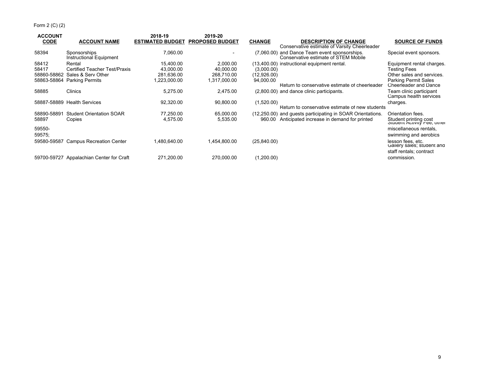Form 2 (C) (2)

| <b>ACCOUNT</b> |                                          | 2018-19                 | 2019-20                |               |                                                                                       |                                                      |
|----------------|------------------------------------------|-------------------------|------------------------|---------------|---------------------------------------------------------------------------------------|------------------------------------------------------|
| <b>CODE</b>    | <b>ACCOUNT NAME</b>                      | <b>ESTIMATED BUDGET</b> | <b>PROPOSED BUDGET</b> | <b>CHANGE</b> | <b>DESCRIPTION OF CHANGE</b><br>Conservative estimate of Varsity Cheerleader          | <b>SOURCE OF FUNDS</b>                               |
| 58394          | Sponsorships<br>Instructional Equipment  | 7,060.00                |                        |               | (7,060.00) and Dance Team event sponsorships.<br>Conservative estimate of STEM Mobile | Special event sponsors.                              |
| 58412          | Rental                                   | 15.400.00               | 2.000.00               |               | (13,400.00) instructional equipment rental.                                           | Equipment rental charges.                            |
| 58417          | <b>Certified Teacher Test/Praxis</b>     | 43.000.00               | 40.000.00              | (3,000.00)    |                                                                                       | Testing Fees                                         |
| 58860-58862    | Sales & Serv Other                       | 281.636.00              | 268,710.00             | (12,926.00)   |                                                                                       | Other sales and services.                            |
|                | 58863-58864 Parking Permits              | ,223,000.00             | 1,317,000.00           | 94,000.00     |                                                                                       | <b>Parking Permit Sales</b>                          |
|                |                                          |                         |                        |               | Return to conservative estimate of cheerleader                                        | Cheerleader and Dance                                |
| 58885          | <b>Clinics</b>                           | 5.275.00                | 2,475.00               |               | (2,800.00) and dance clinic participants.                                             | Team clinic participant<br>Campus health services    |
|                | 58887-58889 Health Services              | 92,320.00               | 90,800.00              | (1,520.00)    |                                                                                       | charges.                                             |
|                |                                          |                         |                        |               | Return to conservative estimate of new students                                       |                                                      |
| 58890-58891    | <b>Student Orientation SOAR</b>          | 77.250.00               | 65,000.00              |               | (12,250.00) and guests participating in SOAR Orientations.                            | Orientation fees.                                    |
| 58897          | Copies                                   | 4,575.00                | 5,535.00               | 960.00        | Anticipated increase in demand for printed                                            | Student printing cost<br>Student Activity Fee, other |
| 59550-         |                                          |                         |                        |               |                                                                                       | miscellaneous rentals,                               |
| 59575;         |                                          |                         |                        |               |                                                                                       | swimming and aerobics                                |
|                | 59580-59587 Campus Recreation Center     | 1,480,640.00            | 1,454,800.00           | (25, 840.00)  |                                                                                       | lesson fees, etc.<br>Gallery sales; student and      |
|                |                                          |                         |                        |               |                                                                                       | staff rentals; contract                              |
|                | 59700-59727 Appalachian Center for Craft | 271,200.00              | 270.000.00             | (1,200.00)    |                                                                                       | commission.                                          |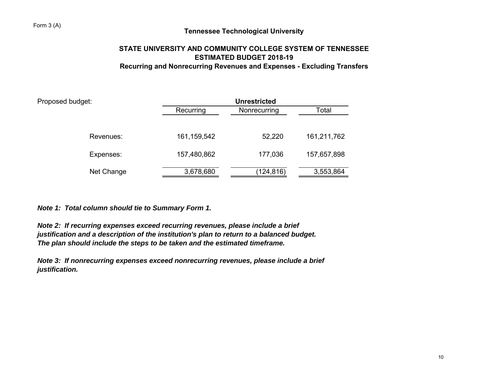# **Tennessee Technological University**

# **STATE UNIVERSITY AND COMMUNITY COLLEGE SYSTEM OF TENNESSEEESTIMATED BUDGET 2018-19Recurring and Nonrecurring Revenues and Expenses - Excluding Transfers**

| Proposed budget: | <b>Unrestricted</b> |              |             |  |  |  |  |  |
|------------------|---------------------|--------------|-------------|--|--|--|--|--|
|                  | Recurring           | Nonrecurring | Total       |  |  |  |  |  |
|                  |                     |              |             |  |  |  |  |  |
| Revenues:        | 161, 159, 542       | 52,220       | 161,211,762 |  |  |  |  |  |
| Expenses:        | 157,480,862         | 177,036      | 157,657,898 |  |  |  |  |  |
| Net Change       | 3,678,680           | (124,816)    | 3,553,864   |  |  |  |  |  |

*Note 1: Total column should tie to Summary Form 1.*

*Note 2: If recurring expenses exceed recurring revenues, please include a brief justification and a description of the institution's plan to return to a balanced budget. The plan should include the steps to be taken and the estimated timeframe.*

*Note 3: If nonrecurring expenses exceed nonrecurring revenues, please include a brief justification.*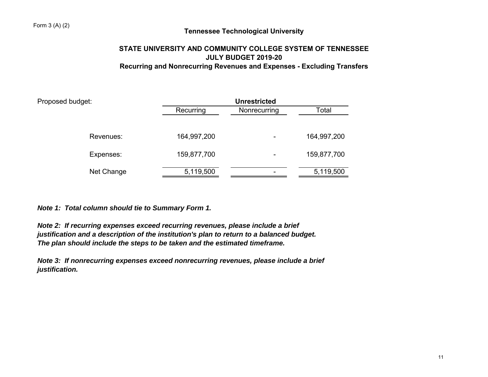# **Tennessee Technological University**

# **STATE UNIVERSITY AND COMMUNITY COLLEGE SYSTEM OF TENNESSEE JULY BUDGET 2019-20Recurring and Nonrecurring Revenues and Expenses - Excluding Transfers**

| Proposed budget:<br>Revenues: | <b>Unrestricted</b> |              |             |  |  |  |  |  |
|-------------------------------|---------------------|--------------|-------------|--|--|--|--|--|
|                               | Recurring           | Nonrecurring | Total       |  |  |  |  |  |
|                               |                     |              |             |  |  |  |  |  |
|                               | 164,997,200         | ۰            | 164,997,200 |  |  |  |  |  |
| Expenses:                     | 159,877,700         | ۰            | 159,877,700 |  |  |  |  |  |
| Net Change                    | 5,119,500           | ۰            | 5,119,500   |  |  |  |  |  |

*Note 1: Total column should tie to Summary Form 1.*

*Note 2: If recurring expenses exceed recurring revenues, please include a brief justification and a description of the institution's plan to return to a balanced budget. The plan should include the steps to be taken and the estimated timeframe.*

*Note 3: If nonrecurring expenses exceed nonrecurring revenues, please include a brief justification.*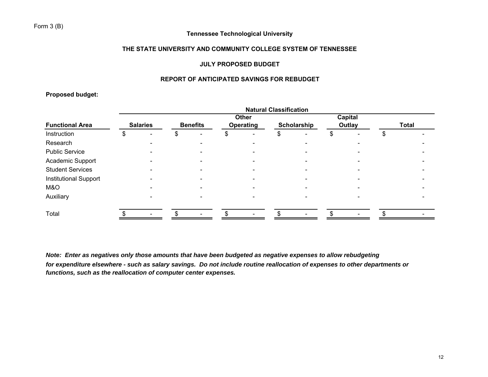# Form 3 (B)

# **Tennessee Technological University**

## **THE STATE UNIVERSITY AND COMMUNITY COLLEGE SYSTEM OF TENNESSEE**

## **JULY PROPOSED BUDGET**

## **REPORT OF ANTICIPATED SAVINGS FOR REBUDGET**

**Proposed budget:**

|                              | <b>Natural Classification</b> |  |                 |  |                  |  |             |  |        |  |              |  |
|------------------------------|-------------------------------|--|-----------------|--|------------------|--|-------------|--|--------|--|--------------|--|
|                              | <b>Capital</b><br>Other       |  |                 |  |                  |  |             |  |        |  |              |  |
| <b>Functional Area</b>       | <b>Salaries</b>               |  | <b>Benefits</b> |  | <b>Operating</b> |  | Scholarship |  | Outlay |  | <b>Total</b> |  |
| Instruction                  |                               |  |                 |  |                  |  |             |  |        |  |              |  |
| Research                     |                               |  |                 |  |                  |  |             |  |        |  |              |  |
| <b>Public Service</b>        |                               |  |                 |  |                  |  |             |  |        |  |              |  |
| Academic Support             |                               |  |                 |  |                  |  |             |  |        |  |              |  |
| <b>Student Services</b>      |                               |  |                 |  |                  |  |             |  |        |  |              |  |
| <b>Institutional Support</b> |                               |  |                 |  |                  |  |             |  |        |  |              |  |
| M&O                          |                               |  |                 |  |                  |  |             |  |        |  |              |  |
| Auxiliary                    |                               |  |                 |  |                  |  |             |  |        |  |              |  |
| Total                        |                               |  |                 |  |                  |  |             |  |        |  |              |  |

*Note: Enter as negatives only those amounts that have been budgeted as negative expenses to allow rebudgeting for expenditure elsewhere - such as salary savings. Do not include routine reallocation of expenses to other departments or functions, such as the reallocation of computer center expenses.*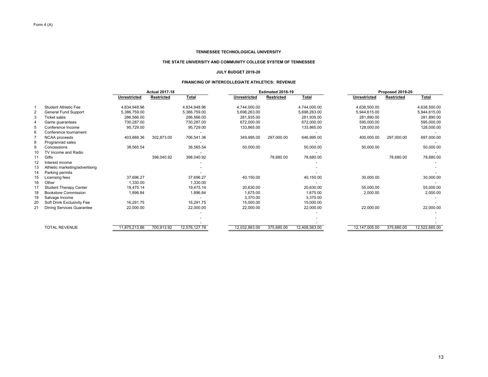#### **THE STATE UNIVERSITY AND COMMUNITY COLLEGE SYSTEM OF TENNESSEE**

#### **JULY BUDGET 2019-20**

#### **FINANCING OF INTERCOLLEGIATE ATHLETICS: REVENUE**

|    |                                  | <b>Actual 2017-18</b> |                   |               | Estimated 2018-19 |                   |               | Proposed 2019-20    |                   |               |
|----|----------------------------------|-----------------------|-------------------|---------------|-------------------|-------------------|---------------|---------------------|-------------------|---------------|
|    |                                  | <b>Unrestricted</b>   | <b>Restricted</b> | <b>Total</b>  | Unrestricted      | <b>Restricted</b> | <b>Total</b>  | <b>Unrestricted</b> | <b>Restricted</b> | Total         |
|    | Student Athletic Fee             | 4.834.948.96          |                   | 4.834.948.96  | 4,744,000.00      |                   | 4,744,000.00  | 4.638.500.00        |                   | 4,638,500.00  |
|    | General Fund Support             | 5,386,759.00          |                   | 5,386,759.00  | 5,698,263.00      |                   | 5,698,263.00  | 5,944,615.00        |                   | 5,944,615.00  |
|    | <b>Ticket sales</b>              | 286,566.00            |                   | 286,566.00    | 281,935.00        |                   | 281,935.00    | 281,890.00          |                   | 281,890.00    |
|    | Game quarantees                  | 730,287.00            |                   | 730,287.00    | 672.000.00        |                   | 672,000.00    | 595,000.00          |                   | 595,000.00    |
| 5  | Conference Income                | 95,729.00             |                   | 95,729.00     | 133,865.00        |                   | 133,865.00    | 128,000.00          |                   | 128,000.00    |
| 6  | Conference tournament            |                       |                   |               |                   |                   |               |                     |                   |               |
|    | NCAA proceeds                    | 403,668.36            | 302,873.00        | 706,541.36    | 349,995.00        | 297,000.00        | 646,995.00    | 400,000.00          | 297,000.00        | 697,000.00    |
| 8  | Program/ad sales                 |                       |                   |               |                   |                   |               |                     |                   |               |
| 9  | Concessions                      | 38,565.54             |                   | 38,565.54     | 50,000.00         |                   | 50,000.00     | 50,000.00           |                   | 50,000.00     |
| 10 | TV Income and Radio              |                       |                   |               |                   |                   |               |                     |                   |               |
| 11 | Gifts                            |                       | 398,040.92        | 398,040.92    |                   | 78,680.00         | 78,680.00     |                     | 78,680.00         | 78,680.00     |
| 12 | Interest income                  |                       |                   |               |                   |                   |               |                     |                   |               |
| 13 | Athletic marketing/advertising   |                       |                   |               |                   |                   |               |                     |                   |               |
| 14 | Parking permits                  |                       |                   |               |                   |                   |               |                     |                   |               |
| 15 | Licensing fees                   | 37,696.27             |                   | 37,696.27     | 40,150.00         |                   | 40,150.00     | 30,000.00           |                   | 30,000.00     |
| 16 | Other                            | 1,330.00              |                   | 1,330.00      |                   |                   |               |                     |                   |               |
| 17 | <b>Student Therapy Center</b>    | 19,475.14             |                   | 19,475.14     | 20,630.00         |                   | 20,630.00     | 55,000.00           |                   | 55,000.00     |
| 18 | <b>Bookstore Commission</b>      | 1,896.84              |                   | 1,896.84      | 1,675.00          |                   | 1,675.00      | 2,000.00            |                   | 2,000.00      |
| 19 | Salvage Income                   |                       |                   |               | 3,370.00          |                   | 3,370.00      |                     |                   |               |
| 20 | Soft Drink Exclusivity Fee       | 16,291.75             |                   | 16,291.75     | 15,000.00         |                   | 15,000.00     |                     |                   |               |
| 21 | <b>Dining Services Guarantee</b> | 22,000.00             |                   | 22,000.00     | 22,000.00         |                   | 22,000.00     | 22,000.00           |                   | 22,000.00     |
|    |                                  |                       |                   |               |                   |                   |               |                     |                   |               |
|    |                                  |                       |                   |               |                   |                   |               |                     |                   |               |
|    |                                  |                       |                   |               |                   |                   |               |                     |                   |               |
|    | <b>TOTAL REVENUE</b>             | 11,875,213.86         | 700,913.92        | 12,576,127.78 | 12,032,883.00     | 375,680.00        | 12,408,563.00 | 12,147,005.00       | 375,680.00        | 12,522,685.00 |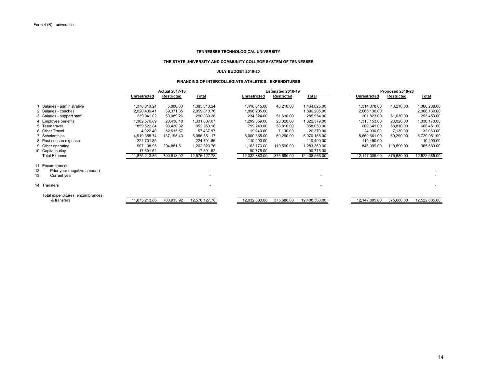#### **THE STATE UNIVERSITY AND COMMUNITY COLLEGE SYSTEM OF TENNESSEE**

#### **JULY BUDGET 2019-20**

#### **FINANCING OF INTERCOLLEGIATE ATHLETICS: EXPENDITURES**

|                                    | <b>Actual 2017-18</b> |                   |               | Estimated 2018-19   |                   |                          | Proposed 2019-20    |                   |               |
|------------------------------------|-----------------------|-------------------|---------------|---------------------|-------------------|--------------------------|---------------------|-------------------|---------------|
|                                    | Unrestricted          | <b>Restricted</b> | Total         | <b>Unrestricted</b> | <b>Restricted</b> | <b>Total</b>             | <b>Unrestricted</b> | <b>Restricted</b> | <b>Total</b>  |
| Salaries - administrative          | 1,378,813.24          | 5,000.00          | 1,383,813.24  | 1,418,615.00        | 46,210.00         | 464,825.00               | 1,314,078.00        | 46,210.00         | 1,360,288.00  |
| 2 Salaries - coaches               | 2,020,439.41          | 39,371.35         | 2,059,810.76  | 1,896,205.00        |                   | 896,205.00               | 2,066,130.00        |                   | 2,066,130.00  |
| 3 Salaries - support staff         | 239,941.02            | 50,089.26         | 290,030.28    | 234,324.00          | 51,630.00         | 285,954.00               | 201,823.00          | 51,630.00         | 253,453.00    |
| 4 Employee benefits                | ,302,576.89           | 28,430.18         | 1,331,007.07  | 1,299,359.00        | 23,020.00         | ,322,379.00              | 1,313,153.00        | 23,020.00         | 336,173.00    |
| 5 Team travel                      | 859,522.84            | 93,430.32         | 952,953.16    | 799,240.00          | 58,810.00         | 858,050.00               | 609,641.00          | 58,810.00         | 668,451.00    |
| 6 Other Travel                     | 4,922.40              | 52,515.57         | 57,437.97     | 19,240.00           | 7,130.00          | 26,370.00                | 24,930.00           | 7,130.00          | 32,060.00     |
| 7 Scholarships                     | 4,919,355.74          | 137,195.43        | 5,056,551.17  | 5,000,865.00        | 69,290.00         | 5,070,155.00             | 5,660,661.00        | 69,290.00         | 5,729,951.00  |
| 8 Post-season expense              | 224,701.85            |                   | 224,701.85    | 110,490.00          |                   | 110,490.00               | 110,490.00          |                   | 110,490.00    |
| 9 Other operating                  | 907,138.95            | 294,881.81        | 1,202,020.76  | 1,163,770.00        | 119,590.00        | .283,360.00              | 846,099.00          | 119,590.00        | 965,689.00    |
| 10 Capital outlay                  | 17,801.52             |                   | 17,801.52     | 90,775.00           |                   | 90,775.00                |                     |                   |               |
| <b>Total Expense</b>               | 11,875,213.86         | 700,913.92        | 12,576,127.78 | 12,032,883.00       | 375,680.00        | 12,408,563.00            | 12,147,005.00       | 375,680.00        | 12,522,685.00 |
| 11<br>Encumbrances                 |                       |                   |               |                     |                   |                          |                     |                   |               |
| 12<br>Prior year (negative amount) |                       |                   |               |                     |                   | $\overline{\phantom{0}}$ |                     |                   |               |
| 13<br>Current year                 |                       |                   |               |                     |                   |                          |                     |                   |               |
| 14 Transfers                       |                       |                   |               |                     |                   |                          |                     |                   |               |
| Total expenditures, encumbrances   |                       |                   |               |                     |                   |                          |                     |                   |               |
| & transfers                        | 11,875,213.86         | 700,913.92        | 12,576,127.78 | 12,032,883.00       | 375,680.00        | 12,408,563.00            | 12,147,005.00       | 375,680.00        | 12,522,685.00 |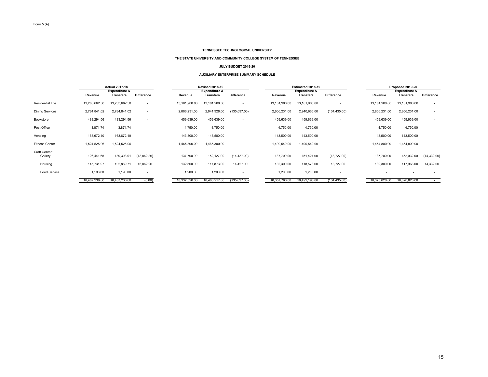#### **THE STATE UNIVERSITY AND COMMUNITY COLLEGE SYSTEM OF TENNESSEE**

#### **JULY BUDGET 2019-20**

#### **AUXILIARY ENTERPRISE SUMMARY SCHEDULE**

|                          |               | <b>Actual 2017-18</b>      |                          |               | <b>Revised 2018-19</b>     |                          |               | Estimated 2018-19                 |                   |               | Proposed 2019-20                  |                          |
|--------------------------|---------------|----------------------------|--------------------------|---------------|----------------------------|--------------------------|---------------|-----------------------------------|-------------------|---------------|-----------------------------------|--------------------------|
|                          | Revenue       | Expenditure &<br>Transfers | <b>Difference</b>        | Revenue       | Expenditure &<br>Transfers | <b>Difference</b>        | Revenue       | Expenditure &<br><b>Transfers</b> | <b>Difference</b> | Revenue       | Expenditure &<br><b>Transfers</b> | <b>Difference</b>        |
| <b>Residential Life</b>  | 13,263,662.50 | 13,263,662.50              | $\overline{\phantom{a}}$ | 13,181,900.00 | 13,181,900.00              | $\overline{\phantom{a}}$ | 13,181,900.00 | 13,181,900.00                     | $\sim$            | 13,181,900.00 | 13,181,900.00                     | $\overline{\phantom{a}}$ |
| <b>Dining Services</b>   | 2,784,841.02  | 2,784,841.02               | $\overline{\phantom{a}}$ | 2,806,231.00  | 2,941,928.00               | (135, 697.00)            | 2,806,231.00  | 2,940,666.00                      | (134, 435.00)     | 2,806,231.00  | 2,806,231.00                      | $\overline{\phantom{a}}$ |
| Bookstore                | 483,294.56    | 483,294.56                 |                          | 459,639.00    | 459,639.00                 | $\overline{\phantom{a}}$ | 459,639.00    | 459,639.00                        |                   | 459,639.00    | 459,639.00                        | $\overline{\phantom{a}}$ |
| Post Office              | 3,871.74      | 3,871.74                   |                          | 4,750.00      | 4,750.00                   | $\overline{\phantom{a}}$ | 4,750.00      | 4,750.00                          |                   | 4,750.00      | 4,750.00                          | $\blacksquare$           |
| Vending                  | 163,672.10    | 163,672.10                 | $\overline{\phantom{a}}$ | 143,500.00    | 143,500.00                 | $\overline{\phantom{a}}$ | 143,500.00    | 143,500.00                        |                   | 143,500.00    | 143,500.00                        | $\overline{\phantom{a}}$ |
| <b>Fitness Center</b>    | 1,524,525.06  | 1,524,525.06               | $\overline{\phantom{a}}$ | 1,465,300.00  | 1,465,300.00               | $\overline{\phantom{a}}$ | 1,490,540.00  | 1,490,540.00                      |                   | 1,454,800.00  | 1,454,800.00                      | $\overline{\phantom{a}}$ |
| Craft Center:<br>Gallery | 126,441.65    | 139,303.91                 | (12,862.26)              | 137,700.00    | 152,127.00                 | (14, 427.00)             | 137,700.00    | 151,427.00                        | (13, 727.00)      | 137,700.00    | 152,032.00                        | (14, 332.00)             |
| Housing                  | 115,731.97    | 102,869.71                 | 12,862.26                | 132,300.00    | 117,873.00                 | 14,427.00                | 132,300.00    | 118,573.00                        | 13,727.00         | 132,300.00    | 117,968.00                        | 14,332.00                |
| Food Service             | 1,196.00      | 1,196.00                   | <b>.</b>                 | 1,200.00      | 1,200.00                   | $\overline{\phantom{a}}$ | 1,200.00      | 1,200.00                          | $\sim$            |               |                                   | $\overline{\phantom{a}}$ |
|                          | 18,467,236.60 | 18,467,236.60              | (0.00)                   | 18,332,520.00 | 18,468,217.00              | (135, 697.00)            | 18,357,760.00 | 18,492,195.00                     | (134, 435.00)     | 18,320,820.00 | 18,320,820.00                     | $\overline{\phantom{a}}$ |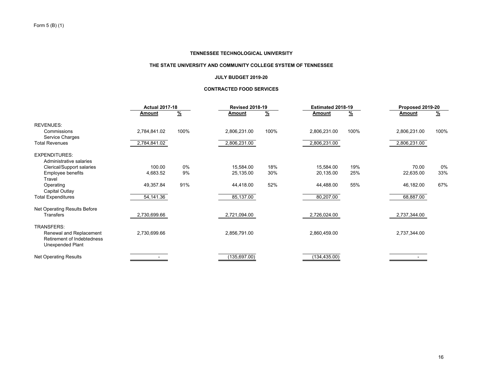## **THE STATE UNIVERSITY AND COMMUNITY COLLEGE SYSTEM OF TENNESSEE**

## **JULY BUDGET 2019-20**

## **CONTRACTED FOOD SERVICES**

|                                                                           |              | <b>Actual 2017-18</b> |               | <b>Revised 2018-19</b> | Estimated 2018-19 |          | Proposed 2019-20 |          |
|---------------------------------------------------------------------------|--------------|-----------------------|---------------|------------------------|-------------------|----------|------------------|----------|
|                                                                           | Amount       | $\frac{9}{6}$         | <b>Amount</b> | $\frac{9}{6}$          | Amount            | <u>%</u> | Amount           | <u>%</u> |
| <b>REVENUES:</b>                                                          |              |                       |               |                        |                   |          |                  |          |
| Commissions<br>Service Charges                                            | 2,784,841.02 | 100%                  | 2,806,231.00  | 100%                   | 2,806,231.00      | 100%     | 2,806,231.00     | 100%     |
| <b>Total Revenues</b>                                                     | 2,784,841.02 |                       | 2,806,231.00  |                        | 2,806,231.00      |          | 2,806,231.00     |          |
| <b>EXPENDITURES:</b>                                                      |              |                       |               |                        |                   |          |                  |          |
| Administrative salaries                                                   |              |                       |               |                        |                   |          |                  |          |
| Clerical/Support salaries                                                 | 100.00       | $0\%$                 | 15,584.00     | 18%                    | 15,584.00         | 19%      | 70.00            | 0%       |
| <b>Employee benefits</b>                                                  | 4,683.52     | 9%                    | 25,135.00     | 30%                    | 20,135.00         | 25%      | 22,635.00        | 33%      |
| Travel                                                                    |              |                       |               |                        |                   |          |                  |          |
| Operating                                                                 | 49,357.84    | 91%                   | 44,418.00     | 52%                    | 44,488.00         | 55%      | 46,182.00        | 67%      |
| Capital Outlay                                                            |              |                       |               |                        |                   |          |                  |          |
| <b>Total Expenditures</b>                                                 | 54,141.36    |                       | 85,137.00     |                        | 80,207.00         |          | 68,887.00        |          |
| Net Operating Results Before                                              |              |                       |               |                        |                   |          |                  |          |
| Transfers                                                                 | 2,730,699.66 |                       | 2,721,094.00  |                        | 2,726,024.00      |          | 2,737,344.00     |          |
| <b>TRANSFERS:</b>                                                         |              |                       |               |                        |                   |          |                  |          |
| Renewal and Replacement<br>Retirement of Indebtedness<br>Unexpended Plant | 2,730,699.66 |                       | 2,856,791.00  |                        | 2,860,459.00      |          | 2,737,344.00     |          |
| <b>Net Operating Results</b>                                              |              |                       | (135, 697.00) |                        | (134, 435.00)     |          |                  |          |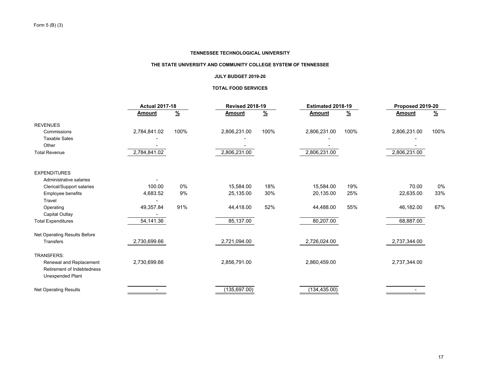#### **THE STATE UNIVERSITY AND COMMUNITY COLLEGE SYSTEM OF TENNESSEE**

## **JULY BUDGET 2019-20**

#### **TOTAL FOOD SERVICES**

|                                                                                  |               | <b>Actual 2017-18</b> |               | <b>Revised 2018-19</b> | Estimated 2018-19 |               | Proposed 2019-20 |               |
|----------------------------------------------------------------------------------|---------------|-----------------------|---------------|------------------------|-------------------|---------------|------------------|---------------|
|                                                                                  | <b>Amount</b> | $\frac{9}{6}$         | <b>Amount</b> | $\frac{9}{6}$          | Amount            | $\frac{9}{6}$ | Amount           | $\frac{9}{6}$ |
| <b>REVENUES</b>                                                                  |               |                       |               |                        |                   |               |                  |               |
| Commissions                                                                      | 2,784,841.02  | 100%                  | 2,806,231.00  | 100%                   | 2,806,231.00      | 100%          | 2,806,231.00     | 100%          |
| <b>Taxable Sales</b>                                                             |               |                       |               |                        |                   |               |                  |               |
| Other                                                                            |               |                       |               |                        |                   |               |                  |               |
| <b>Total Revenue</b>                                                             | 2,784,841.02  |                       | 2,806,231.00  |                        | 2,806,231.00      |               | 2,806,231.00     |               |
| <b>EXPENDITURES</b>                                                              |               |                       |               |                        |                   |               |                  |               |
| Administrative salaries                                                          |               |                       |               |                        |                   |               |                  |               |
| <b>Clerical/Support salaries</b>                                                 | 100.00        | $0\%$                 | 15,584.00     | 18%                    | 15,584.00         | 19%           | 70.00            | $0\%$         |
| Employee benefits                                                                | 4,683.52      | 9%                    | 25,135.00     | 30%                    | 20,135.00         | 25%           | 22,635.00        | 33%           |
| Travel                                                                           |               |                       |               |                        |                   |               |                  |               |
| Operating                                                                        | 49,357.84     | 91%                   | 44,418.00     | 52%                    | 44,488.00         | 55%           | 46,182.00        | 67%           |
| Capital Outlay                                                                   |               |                       |               |                        |                   |               |                  |               |
| <b>Total Expenditures</b>                                                        | 54,141.36     |                       | 85,137.00     |                        | 80,207.00         |               | 68,887.00        |               |
| Net Operating Results Before                                                     |               |                       |               |                        |                   |               |                  |               |
| Transfers                                                                        | 2,730,699.66  |                       | 2,721,094.00  |                        | 2,726,024.00      |               | 2,737,344.00     |               |
| TRANSFERS:                                                                       |               |                       |               |                        |                   |               |                  |               |
| Renewal and Replacement<br>Retirement of Indebtedness<br><b>Unexpended Plant</b> | 2,730,699.66  |                       | 2,856,791.00  |                        | 2,860,459.00      |               | 2,737,344.00     |               |
| <b>Net Operating Results</b>                                                     |               |                       | (135, 697.00) |                        | (134, 435.00)     |               |                  |               |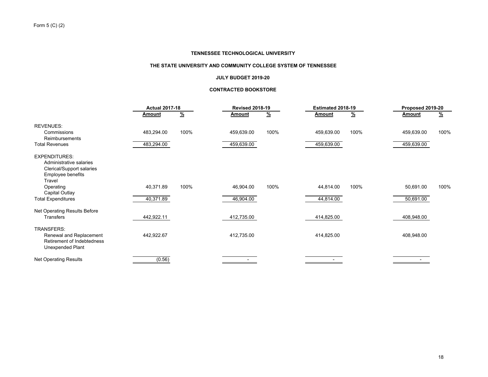#### **THE STATE UNIVERSITY AND COMMUNITY COLLEGE SYSTEM OF TENNESSEE**

#### **JULY BUDGET 2019-20**

## **CONTRACTED BOOKSTORE**

|                                                                                                             |               | <b>Actual 2017-18</b> |            | <b>Revised 2018-19</b> |            | Estimated 2018-19 |               | Proposed 2019-20 |  |
|-------------------------------------------------------------------------------------------------------------|---------------|-----------------------|------------|------------------------|------------|-------------------|---------------|------------------|--|
|                                                                                                             | <b>Amount</b> | $\frac{9}{6}$         | Amount     | <u>%</u>               | Amount     | <u>%</u>          | <b>Amount</b> | <u>%</u>         |  |
| <b>REVENUES:</b>                                                                                            |               |                       |            |                        |            |                   |               |                  |  |
| Commissions<br><b>Reimbursements</b>                                                                        | 483,294.00    | 100%                  | 459,639.00 | 100%                   | 459,639.00 | 100%              | 459,639.00    | 100%             |  |
| <b>Total Revenues</b>                                                                                       | 483,294.00    |                       | 459,639.00 |                        | 459,639.00 |                   | 459,639.00    |                  |  |
| <b>EXPENDITURES:</b><br>Administrative salaries<br>Clerical/Support salaries<br>Employee benefits<br>Travel |               |                       |            |                        |            |                   |               |                  |  |
| Operating<br>Capital Outlay                                                                                 | 40,371.89     | 100%                  | 46,904.00  | 100%                   | 44,814.00  | 100%              | 50,691.00     | 100%             |  |
| <b>Total Expenditures</b>                                                                                   | 40,371.89     |                       | 46,904.00  |                        | 44,814.00  |                   | 50,691.00     |                  |  |
| Net Operating Results Before<br>Transfers                                                                   | 442,922.11    |                       | 412,735.00 |                        | 414,825.00 |                   | 408,948.00    |                  |  |
| TRANSFERS:<br>Renewal and Replacement<br>Retirement of Indebtedness<br>Unexpended Plant                     | 442,922.67    |                       | 412,735.00 |                        | 414,825.00 |                   | 408,948.00    |                  |  |
| <b>Net Operating Results</b>                                                                                | (0.56)        |                       |            |                        |            |                   |               |                  |  |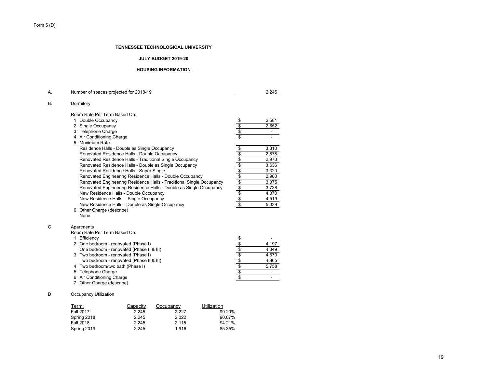## **JULY BUDGET 2019-20**

#### **HOUSING INFORMATION**

| А. | Number of spaces projected for 2018-19                                          |                               | 2,245                    |
|----|---------------------------------------------------------------------------------|-------------------------------|--------------------------|
| В. | Dormitory                                                                       |                               |                          |
|    | Room Rate Per Term Based On:                                                    |                               |                          |
|    | 1 Double Occupancy                                                              |                               | 2,581                    |
|    | 2 Single Occupancy                                                              | $\frac{6}{3}$                 | 2,652                    |
|    | 3 Telephone Charge                                                              | \$                            |                          |
|    | 4 Air Conditioning Charge                                                       | \$                            | ÷.                       |
|    | 5 Maximum Rate                                                                  |                               |                          |
|    | Residence Halls - Double as Single Occupancy                                    |                               | 3,310                    |
|    | Renovated Residence Halls - Double Occupancy                                    | \$ \$ \$ \$ \$ \$ \$ \$ \$ \$ | 2,878                    |
|    | Renovated Residence Halls - Traditional Single Occupancy                        |                               | 2,973                    |
|    | Renovated Residence Halls - Double as Single Occupancy                          |                               | 3,636                    |
|    | Renovated Residence Halls - Super Single                                        |                               | 3,320                    |
|    | Renovated Engineering Residence Halls - Double Occupancy                        |                               | 2,980                    |
|    | Renovated Engineering Residence Halls - Traditional Single Occupancy            |                               | 3,075                    |
|    | Renovated Engineering Residence Halls - Double as Single Occupancy              |                               | 3,738                    |
|    | New Residence Halls - Double Occupancy                                          |                               | 4,070                    |
|    | New Residence Halls - Single Occupancy                                          |                               | 4,519                    |
|    | New Residence Halls - Double as Single Occupancy                                | \$                            | 5,039                    |
| C  | 6 Other Charge (describe)<br>None<br>Apartments<br>Room Rate Per Term Based On: |                               |                          |
|    | 1 Efficiency                                                                    |                               |                          |
|    | 2 One bedroom - renovated (Phase I)                                             | \$ \$ \$ \$ \$ \$             | 4,197                    |
|    | One bedroom - renovated (Phase II & III)                                        |                               | 4,049                    |
|    | 3 Two bedroom - renovated (Phase I)                                             |                               | 4,570                    |
|    | Two bedroom - renovated (Phase II & III)                                        |                               | 4,865                    |
|    | 4 Two bedroom/two bath (Phase I)                                                |                               | 5,758                    |
|    | 5 Telephone Charge                                                              |                               | $\blacksquare$           |
|    | 6 Air Conditioning Charge<br>7 Other Charge (describe)                          | $\overline{\mathbf{3}}$       | $\overline{\phantom{a}}$ |
| D  | <b>Occupancy Utilization</b>                                                    |                               |                          |
|    | Utilization<br>Term:<br>Capacity<br>Occupancy<br><b>F-11 0047</b><br><b>000</b> | 00.001                        |                          |

| Term:       | Capacity | Occupancy | Utilization |
|-------------|----------|-----------|-------------|
| Fall 2017   | 2.245    | 2.227     | 99.20%      |
| Spring 2018 | 2.245    | 2.022     | 90.07%      |
| Fall 2018   | 2.245    | 2.115     | 94.21%      |
| Spring 2019 | 2.245    | 1.916     | 85.35%      |

Form 5 (D)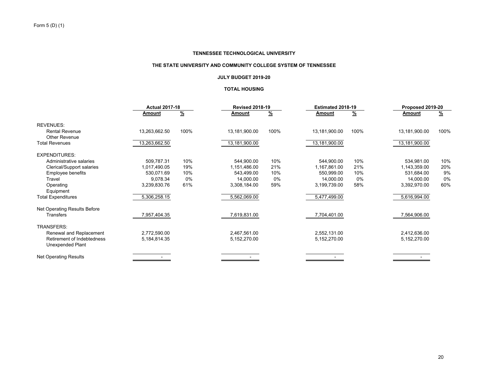## **THE STATE UNIVERSITY AND COMMUNITY COLLEGE SYSTEM OF TENNESSEE**

## **JULY BUDGET 2019-20**

## **TOTAL HOUSING**

|                                                       | <b>Actual 2017-18</b> |               | <b>Revised 2018-19</b> |               | Estimated 2018-19 |          | Proposed 2019-20 |               |
|-------------------------------------------------------|-----------------------|---------------|------------------------|---------------|-------------------|----------|------------------|---------------|
|                                                       | Amount                | $\frac{9}{6}$ | <u>Amount</u>          | $\frac{9}{6}$ | Amount            | <u>%</u> | Amount           | $\frac{9}{6}$ |
| <b>REVENUES:</b>                                      |                       |               |                        |               |                   |          |                  |               |
| <b>Rental Revenue</b><br><b>Other Revenue</b>         | 13,263,662.50         | 100%          | 13,181,900.00          | 100%          | 13,181,900.00     | 100%     | 13,181,900.00    | 100%          |
| <b>Total Revenues</b>                                 | 13,263,662.50         |               | 13,181,900.00          |               | 13,181,900.00     |          | 13,181,900.00    |               |
| <b>EXPENDITURES:</b>                                  |                       |               |                        |               |                   |          |                  |               |
| Administrative salaries                               | 509,787.31            | 10%           | 544,900.00             | 10%           | 544,900.00        | 10%      | 534,981.00       | 10%           |
| Clerical/Support salaries                             | 1,017,490.05          | 19%           | 1,151,486.00           | 21%           | 1,167,861.00      | 21%      | 1,143,359.00     | 20%           |
| Employee benefits                                     | 530,071.69            | 10%           | 543,499.00             | 10%           | 550,999.00        | 10%      | 531,684.00       | 9%            |
| Travel                                                | 9,078.34              | 0%            | 14,000.00              | 0%            | 14,000.00         | 0%       | 14,000.00        | 0%            |
| Operating                                             | 3,239,830.76          | 61%           | 3,308,184.00           | 59%           | 3,199,739.00      | 58%      | 3,392,970.00     | 60%           |
| Equipment                                             |                       |               |                        |               |                   |          |                  |               |
| <b>Total Expenditures</b>                             | 5,306,258.15          |               | 5,562,069.00           |               | 5,477,499.00      |          | 5,616,994.00     |               |
| Net Operating Results Before                          |                       |               |                        |               |                   |          |                  |               |
| Transfers                                             | 7,957,404.35          |               | 7,619,831.00           |               | 7,704,401.00      |          | 7,564,906.00     |               |
| <b>TRANSFERS:</b>                                     |                       |               |                        |               |                   |          |                  |               |
| Renewal and Replacement                               | 2,772,590.00          |               | 2,467,561.00           |               | 2,552,131.00      |          | 2,412,636.00     |               |
| Retirement of Indebtedness<br><b>Unexpended Plant</b> | 5,184,814.35          |               | 5,152,270.00           |               | 5,152,270.00      |          | 5,152,270.00     |               |
| Net Operating Results                                 |                       |               |                        |               |                   |          |                  |               |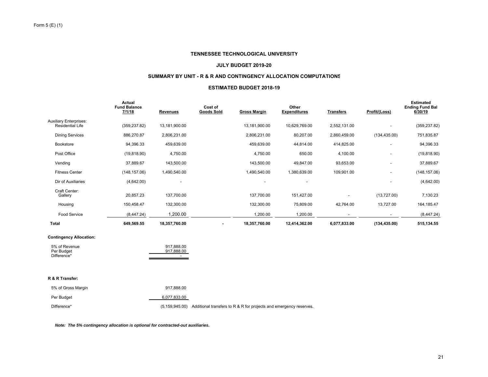#### **JULY BUDGET 2019-20**

## **SUMMARY BY UNIT - R & R AND CONTINGENCY ALLOCATION COMPUTATIONS**

#### **ESTIMATED BUDGET 2018-19**

|                                                          | Actual<br><b>Fund Balance</b><br>7/1/18 | <b>Revenues</b> | Cost of<br><b>Goods Sold</b> | <b>Gross Margin</b> | Other<br><b>Expenditures</b> | <b>Transfers</b> | Profit/(Loss)            | <b>Estimated</b><br><b>Ending Fund Bal</b><br>6/30/19 |
|----------------------------------------------------------|-----------------------------------------|-----------------|------------------------------|---------------------|------------------------------|------------------|--------------------------|-------------------------------------------------------|
| <b>Auxiliary Enterprises:</b><br><b>Residential Life</b> | (359, 237.82)                           | 13,181,900.00   |                              | 13,181,900.00       | 10,629,769.00                | 2,552,131.00     | ٠                        | (359, 237.82)                                         |
| <b>Dining Services</b>                                   | 886,270.87                              | 2,806,231.00    |                              | 2,806,231.00        | 80,207.00                    | 2,860,459.00     | (134, 435.00)            | 751,835.87                                            |
| <b>Bookstore</b>                                         | 94,396.33                               | 459,639.00      |                              | 459,639.00          | 44,814.00                    | 414,825.00       |                          | 94,396.33                                             |
| Post Office                                              | (19, 818.90)                            | 4,750.00        |                              | 4,750.00            | 650.00                       | 4,100.00         | $\overline{\phantom{a}}$ | (19, 818.90)                                          |
| Vending                                                  | 37,889.67                               | 143,500.00      |                              | 143,500.00          | 49,847.00                    | 93,653.00        |                          | 37,889.67                                             |
| <b>Fitness Center</b>                                    | (148, 157.06)                           | 1,490,540.00    |                              | 1,490,540.00        | 1,380,639.00                 | 109,901.00       | $\overline{\phantom{a}}$ | (148, 157.06)                                         |
| Dir of Auxiliaries                                       | (4,642.00)                              |                 |                              |                     |                              |                  |                          | (4,642.00)                                            |
| Craft Center:<br>Gallery                                 | 20,857.23                               | 137,700.00      |                              | 137,700.00          | 151,427.00                   |                  | (13,727.00)              | 7,130.23                                              |
| Housing                                                  | 150,458.47                              | 132,300.00      |                              | 132,300.00          | 75,809.00                    | 42,764.00        | 13,727.00                | 164, 185. 47                                          |
| <b>Food Service</b>                                      | (8,447.24)                              | 1,200.00        |                              | 1,200.00            | 1,200.00                     |                  |                          | (8,447.24)                                            |
| <b>Total</b>                                             | 649,569.55                              | 18,357,760.00   |                              | 18,357,760.00       | 12,414,362.00                | 6,077,833.00     | (134, 435.00)            | 515, 134.55                                           |

## **Contingency Allocation:**

| 5% of Revenue | 917.888.00 |
|---------------|------------|
| Per Budget    | 917.888.00 |
| Difference*   | -          |

#### **R & R Transfer:**

| 5% of Gross Margin | 917.888.00   |                                                                                     |
|--------------------|--------------|-------------------------------------------------------------------------------------|
| Per Budget         | 6,077,833.00 |                                                                                     |
| Difference*        |              | $(5.159.945.00)$ Additional transfers to R & R for projects and emergency reserves. |

*Note: The 5% contingency allocation is optional for contracted-out auxiliaries.*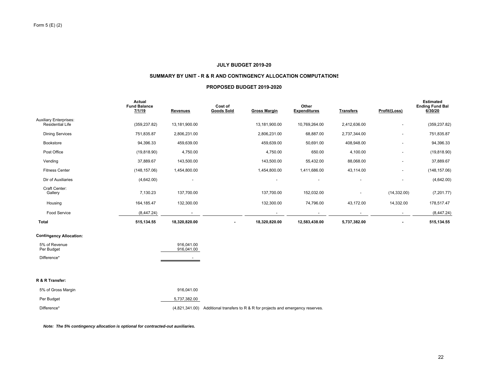## **JULY BUDGET 2019-20**

#### **SUMMARY BY UNIT - R & R AND CONTINGENCY ALLOCATION COMPUTATIONS**

#### **PROPOSED BUDGET 2019-2020**

|                                                          | Actual<br><b>Fund Balance</b><br>7/1/19 | <b>Revenues</b>          | Cost of<br><b>Goods Sold</b> | <b>Gross Margin</b>                                                               | Other<br><b>Expenditures</b> | <b>Transfers</b> | Profit/(Loss) | <b>Estimated</b><br><b>Ending Fund Bal</b><br>6/30/20 |
|----------------------------------------------------------|-----------------------------------------|--------------------------|------------------------------|-----------------------------------------------------------------------------------|------------------------------|------------------|---------------|-------------------------------------------------------|
| <b>Auxiliary Enterprises:</b><br><b>Residential Life</b> | (359, 237.82)                           | 13,181,900.00            |                              | 13,181,900.00                                                                     | 10,769,264.00                | 2,412,636.00     |               | (359, 237.82)                                         |
| <b>Dining Services</b>                                   | 751,835.87                              | 2,806,231.00             |                              | 2,806,231.00                                                                      | 68,887.00                    | 2,737,344.00     |               | 751,835.87                                            |
| Bookstore                                                | 94,396.33                               | 459,639.00               |                              | 459,639.00                                                                        | 50,691.00                    | 408,948.00       |               | 94,396.33                                             |
| Post Office                                              | (19, 818.90)                            | 4,750.00                 |                              | 4,750.00                                                                          | 650.00                       | 4,100.00         |               | (19, 818.90)                                          |
| Vending                                                  | 37,889.67                               | 143,500.00               |                              | 143,500.00                                                                        | 55,432.00                    | 88,068.00        |               | 37,889.67                                             |
| <b>Fitness Center</b>                                    | (148, 157.06)                           | 1,454,800.00             |                              | 1,454,800.00                                                                      | 1,411,686.00                 | 43,114.00        |               | (148, 157.06)                                         |
| Dir of Auxiliaries                                       | (4,642.00)                              |                          |                              |                                                                                   |                              |                  |               | (4,642.00)                                            |
| Craft Center:<br>Gallery                                 | 7,130.23                                | 137,700.00               |                              | 137,700.00                                                                        | 152,032.00                   |                  | (14, 332.00)  | (7,201.77)                                            |
| Housing                                                  | 164, 185.47                             | 132,300.00               |                              | 132,300.00                                                                        | 74,796.00                    | 43,172.00        | 14,332.00     | 178,517.47                                            |
| Food Service                                             | (8,447.24)                              |                          |                              |                                                                                   |                              |                  |               | (8,447.24)                                            |
| Total                                                    | 515,134.55                              | 18,320,820.00            | ۰                            | 18,320,820.00                                                                     | 12,583,438.00                | 5,737,382.00     | ٠             | 515, 134.55                                           |
| <b>Contingency Allocation:</b>                           |                                         |                          |                              |                                                                                   |                              |                  |               |                                                       |
| 5% of Revenue<br>Per Budget                              |                                         | 916.041.00<br>916,041.00 |                              |                                                                                   |                              |                  |               |                                                       |
| Difference*                                              |                                         |                          |                              |                                                                                   |                              |                  |               |                                                       |
| R & R Transfer:                                          |                                         |                          |                              |                                                                                   |                              |                  |               |                                                       |
| 5% of Gross Margin                                       |                                         | 916,041.00               |                              |                                                                                   |                              |                  |               |                                                       |
| Per Budget                                               |                                         | 5,737,382.00             |                              |                                                                                   |                              |                  |               |                                                       |
| Difference*                                              |                                         |                          |                              | (4,821,341.00) Additional transfers to R & R for projects and emergency reserves. |                              |                  |               |                                                       |

*Note: The 5% contingency allocation is optional for contracted-out auxiliaries.*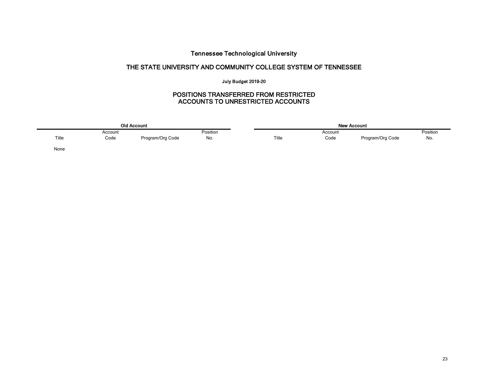# Tennessee Technological University

# THE STATE UNIVERSITY AND COMMUNITY COLLEGE SYSTEM OF TENNESSEE

# July Budget 2019-20

# POSITIONS TRANSFERRED FROM RESTRICTED ACCOUNTS TO UNRESTRICTED ACCOUNTS

|       |         | <b>Old Account</b> |          |       |         | <b>New Account</b> |          |
|-------|---------|--------------------|----------|-------|---------|--------------------|----------|
|       | Account |                    | Position |       | Account |                    | Position |
| Title | Code    | Program/Org Code   | No.      | Title | Code    | Program/Org Code   | No.      |
| None  |         |                    |          |       |         |                    |          |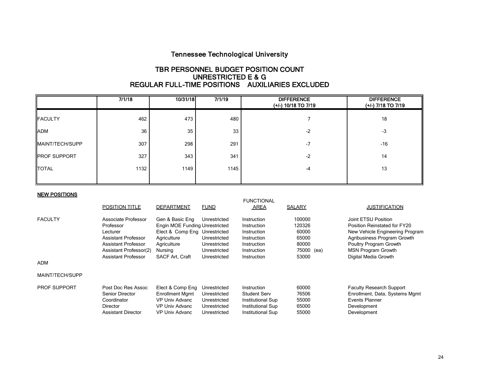# Tennessee Technological University

# TBR PERSONNEL BUDGET POSITION COUNT UNRESTRICTED E & G REGULAR FULL-TIME POSITIONS AUXILIARIES EXCLUDED

|                     | 7/1/18 | 10/31/18 | 7/1/19 | <b>DIFFERENCE</b><br>(+/-) 10/18 TO 7/19 | <b>DIFFERENCE</b><br>(+/-) 7/18 TO 7/19 |
|---------------------|--------|----------|--------|------------------------------------------|-----------------------------------------|
| <b>FACULTY</b>      | 462    | 473      | 480    |                                          | 18                                      |
| <b>ADM</b>          | 36     | 35       | 33     | $-2$                                     | $-3$                                    |
| MAINT/TECH/SUPP     | 307    | 298      | 291    | $-7$                                     | $-16$                                   |
| <b>PROF SUPPORT</b> | 327    | 343      | 341    | $-2$                                     | 14                                      |
| <b>TOTAL</b>        | 1132   | 1149     | 1145   | $-4$                                     | 13                                      |
|                     |        |          |        |                                          |                                         |

## NEW POSITIONS

|                     | <b>POSITION TITLE</b>                                                                                                | <b>DEPARTMENT</b>                                                                                                                  | <b>FUND</b>                                                                  | <b>FUNCTIONAL</b><br>AREA                                                                         | <b>SALARY</b>                                             | <b>JUSTIFICATION</b>                                                                                                                                                         |
|---------------------|----------------------------------------------------------------------------------------------------------------------|------------------------------------------------------------------------------------------------------------------------------------|------------------------------------------------------------------------------|---------------------------------------------------------------------------------------------------|-----------------------------------------------------------|------------------------------------------------------------------------------------------------------------------------------------------------------------------------------|
| <b>FACULTY</b>      | Associate Professor<br>Professor<br>Lecturer<br>Assistant Professor<br>Assistant Professor<br>Assistant Professor(2) | Gen & Basic Eng<br><b>Engin MOE Funding Unrestricted</b><br>Elect & Comp Eng Unrestricted<br>Agriculture<br>Agriculture<br>Nursing | Unrestricted<br>Unrestricted<br>Unrestricted<br>Unrestricted                 | Instruction<br>Instruction<br>Instruction<br>Instruction<br>Instruction<br>Instruction            | 100000<br>120326<br>60000<br>65000<br>80000<br>75000 (ea) | Joint ETSU Position<br>Position Reinstated for FY20<br>New Vehicle Engineering Program<br>Agribusiness Program Growth<br>Poultry Program Growth<br><b>MSN Program Growth</b> |
| <b>ADM</b>          | Assistant Professor                                                                                                  | SACF Art, Craft                                                                                                                    | Unrestricted                                                                 | Instruction                                                                                       | 53000                                                     | Digital Media Growth                                                                                                                                                         |
| MAINT/TECH/SUPP     |                                                                                                                      |                                                                                                                                    |                                                                              |                                                                                                   |                                                           |                                                                                                                                                                              |
| <b>PROF SUPPORT</b> | Post Doc Res Assoc<br>Senior Director<br>Coordinator<br><b>Director</b><br>Assistant Director                        | Elect & Comp Eng<br><b>Enrollment Mgmt</b><br>VP Univ Advanc<br>VP Univ Advanc<br>VP Univ Advanc                                   | Unrestricted<br>Unrestricted<br>Unrestricted<br>Unrestricted<br>Unrestricted | Instruction<br><b>Student Serv</b><br>Institutional Sup<br>Institutional Sup<br>Institutional Sup | 60000<br>76506<br>55000<br>65000<br>55000                 | <b>Faculty Research Support</b><br>Enrollment, Data, Systems Mgmt<br>Events Planner<br>Development<br>Development                                                            |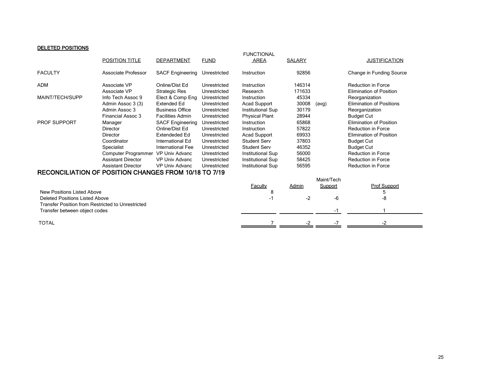# DELETED POSITIONS

| <b>FACULTY</b><br>Associate Professor<br>92856<br>Change in Funding Source<br><b>SACF Engineering</b><br>Instruction<br>Unrestricted<br><b>ADM</b><br>Associate VP<br>Online/Dist Ed<br>146314<br>Unrestricted<br><b>Reduction in Force</b><br>Instruction<br>171633<br>Associate VP<br><b>Strategic Res</b><br><b>Elimination of Position</b><br>Unrestricted<br>Research<br>MAINT/TECH/SUPP<br>45334<br>Info Tech Assoc 9<br>Elect & Comp Eng<br>Unrestricted<br>Instruction<br>Reorganization<br>30008<br><b>Extended Ed</b><br><b>Elimination of Positions</b><br>Admin Assoc 3 (3)<br>Unrestricted<br><b>Acad Support</b><br>(avg)<br>30179<br>Admin Assoc 3<br><b>Business Office</b><br>Unrestricted<br>Institutional Sup<br>Reorganization<br>Financial Assoc 3<br>28944<br><b>Facilities Admin</b><br>Unrestricted<br><b>Physical Plant</b><br><b>Budget Cut</b><br>65868<br><b>PROF SUPPORT</b><br><b>SACF Engineering</b><br>Instruction<br><b>Elimination of Position</b><br>Unrestricted<br>Manager<br>57822<br>Online/Dist Ed<br>Unrestricted<br>Reduction in Force<br><b>Director</b><br>Instruction<br>69933<br><b>Extendeded Ed</b><br>Unrestricted<br><b>Acad Support</b><br><b>Elimination of Position</b><br>Director<br>37803<br>Student Serv<br>Coordinator<br>International Ed<br>Unrestricted<br><b>Budget Cut</b><br>46352<br>Specialist<br><b>Student Serv</b><br>International Fee<br>Unrestricted<br><b>Budget Cut</b><br>56000<br>Reduction in Force<br>Computer Programmer VP Univ Advanc<br>Unrestricted<br>Institutional Sup<br>58425<br><b>Assistant Director</b><br><b>Reduction in Force</b><br><b>VP Univ Advanc</b><br>Unrestricted<br><b>Institutional Sup</b><br><b>Assistant Director</b><br>VP Univ Advanc<br>56595<br><b>Reduction in Force</b><br>Unrestricted<br>Institutional Sup<br>RECONCILIATION OF POSITION CHANGES FROM 10/18 TO 7/19 |                |                   |             | <b>FUNCTIONAL</b> |        |                      |
|-----------------------------------------------------------------------------------------------------------------------------------------------------------------------------------------------------------------------------------------------------------------------------------------------------------------------------------------------------------------------------------------------------------------------------------------------------------------------------------------------------------------------------------------------------------------------------------------------------------------------------------------------------------------------------------------------------------------------------------------------------------------------------------------------------------------------------------------------------------------------------------------------------------------------------------------------------------------------------------------------------------------------------------------------------------------------------------------------------------------------------------------------------------------------------------------------------------------------------------------------------------------------------------------------------------------------------------------------------------------------------------------------------------------------------------------------------------------------------------------------------------------------------------------------------------------------------------------------------------------------------------------------------------------------------------------------------------------------------------------------------------------------------------------------------------------------------------------------------------------------------------------|----------------|-------------------|-------------|-------------------|--------|----------------------|
|                                                                                                                                                                                                                                                                                                                                                                                                                                                                                                                                                                                                                                                                                                                                                                                                                                                                                                                                                                                                                                                                                                                                                                                                                                                                                                                                                                                                                                                                                                                                                                                                                                                                                                                                                                                                                                                                                         | POSITION TITLE | <b>DEPARTMENT</b> | <b>FUND</b> | AREA              | SALARY | <b>JUSTIFICATION</b> |
|                                                                                                                                                                                                                                                                                                                                                                                                                                                                                                                                                                                                                                                                                                                                                                                                                                                                                                                                                                                                                                                                                                                                                                                                                                                                                                                                                                                                                                                                                                                                                                                                                                                                                                                                                                                                                                                                                         |                |                   |             |                   |        |                      |
|                                                                                                                                                                                                                                                                                                                                                                                                                                                                                                                                                                                                                                                                                                                                                                                                                                                                                                                                                                                                                                                                                                                                                                                                                                                                                                                                                                                                                                                                                                                                                                                                                                                                                                                                                                                                                                                                                         |                |                   |             |                   |        |                      |
|                                                                                                                                                                                                                                                                                                                                                                                                                                                                                                                                                                                                                                                                                                                                                                                                                                                                                                                                                                                                                                                                                                                                                                                                                                                                                                                                                                                                                                                                                                                                                                                                                                                                                                                                                                                                                                                                                         |                |                   |             |                   |        |                      |
|                                                                                                                                                                                                                                                                                                                                                                                                                                                                                                                                                                                                                                                                                                                                                                                                                                                                                                                                                                                                                                                                                                                                                                                                                                                                                                                                                                                                                                                                                                                                                                                                                                                                                                                                                                                                                                                                                         |                |                   |             |                   |        |                      |
|                                                                                                                                                                                                                                                                                                                                                                                                                                                                                                                                                                                                                                                                                                                                                                                                                                                                                                                                                                                                                                                                                                                                                                                                                                                                                                                                                                                                                                                                                                                                                                                                                                                                                                                                                                                                                                                                                         |                |                   |             |                   |        |                      |
|                                                                                                                                                                                                                                                                                                                                                                                                                                                                                                                                                                                                                                                                                                                                                                                                                                                                                                                                                                                                                                                                                                                                                                                                                                                                                                                                                                                                                                                                                                                                                                                                                                                                                                                                                                                                                                                                                         |                |                   |             |                   |        |                      |
|                                                                                                                                                                                                                                                                                                                                                                                                                                                                                                                                                                                                                                                                                                                                                                                                                                                                                                                                                                                                                                                                                                                                                                                                                                                                                                                                                                                                                                                                                                                                                                                                                                                                                                                                                                                                                                                                                         |                |                   |             |                   |        |                      |
|                                                                                                                                                                                                                                                                                                                                                                                                                                                                                                                                                                                                                                                                                                                                                                                                                                                                                                                                                                                                                                                                                                                                                                                                                                                                                                                                                                                                                                                                                                                                                                                                                                                                                                                                                                                                                                                                                         |                |                   |             |                   |        |                      |
|                                                                                                                                                                                                                                                                                                                                                                                                                                                                                                                                                                                                                                                                                                                                                                                                                                                                                                                                                                                                                                                                                                                                                                                                                                                                                                                                                                                                                                                                                                                                                                                                                                                                                                                                                                                                                                                                                         |                |                   |             |                   |        |                      |
|                                                                                                                                                                                                                                                                                                                                                                                                                                                                                                                                                                                                                                                                                                                                                                                                                                                                                                                                                                                                                                                                                                                                                                                                                                                                                                                                                                                                                                                                                                                                                                                                                                                                                                                                                                                                                                                                                         |                |                   |             |                   |        |                      |
|                                                                                                                                                                                                                                                                                                                                                                                                                                                                                                                                                                                                                                                                                                                                                                                                                                                                                                                                                                                                                                                                                                                                                                                                                                                                                                                                                                                                                                                                                                                                                                                                                                                                                                                                                                                                                                                                                         |                |                   |             |                   |        |                      |
|                                                                                                                                                                                                                                                                                                                                                                                                                                                                                                                                                                                                                                                                                                                                                                                                                                                                                                                                                                                                                                                                                                                                                                                                                                                                                                                                                                                                                                                                                                                                                                                                                                                                                                                                                                                                                                                                                         |                |                   |             |                   |        |                      |
|                                                                                                                                                                                                                                                                                                                                                                                                                                                                                                                                                                                                                                                                                                                                                                                                                                                                                                                                                                                                                                                                                                                                                                                                                                                                                                                                                                                                                                                                                                                                                                                                                                                                                                                                                                                                                                                                                         |                |                   |             |                   |        |                      |
|                                                                                                                                                                                                                                                                                                                                                                                                                                                                                                                                                                                                                                                                                                                                                                                                                                                                                                                                                                                                                                                                                                                                                                                                                                                                                                                                                                                                                                                                                                                                                                                                                                                                                                                                                                                                                                                                                         |                |                   |             |                   |        |                      |
|                                                                                                                                                                                                                                                                                                                                                                                                                                                                                                                                                                                                                                                                                                                                                                                                                                                                                                                                                                                                                                                                                                                                                                                                                                                                                                                                                                                                                                                                                                                                                                                                                                                                                                                                                                                                                                                                                         |                |                   |             |                   |        |                      |
|                                                                                                                                                                                                                                                                                                                                                                                                                                                                                                                                                                                                                                                                                                                                                                                                                                                                                                                                                                                                                                                                                                                                                                                                                                                                                                                                                                                                                                                                                                                                                                                                                                                                                                                                                                                                                                                                                         |                |                   |             |                   |        |                      |
| Maint/Tech                                                                                                                                                                                                                                                                                                                                                                                                                                                                                                                                                                                                                                                                                                                                                                                                                                                                                                                                                                                                                                                                                                                                                                                                                                                                                                                                                                                                                                                                                                                                                                                                                                                                                                                                                                                                                                                                              |                |                   |             |                   |        |                      |
| <b>Prof Support</b><br>Support<br><b>Faculty</b><br>Admin                                                                                                                                                                                                                                                                                                                                                                                                                                                                                                                                                                                                                                                                                                                                                                                                                                                                                                                                                                                                                                                                                                                                                                                                                                                                                                                                                                                                                                                                                                                                                                                                                                                                                                                                                                                                                               |                |                   |             |                   |        |                      |
| New Positions Listed Above<br>8<br>5                                                                                                                                                                                                                                                                                                                                                                                                                                                                                                                                                                                                                                                                                                                                                                                                                                                                                                                                                                                                                                                                                                                                                                                                                                                                                                                                                                                                                                                                                                                                                                                                                                                                                                                                                                                                                                                    |                |                   |             |                   |        |                      |
| $-2$<br>-6<br>-8<br><b>Deleted Positions Listed Above</b><br>-1                                                                                                                                                                                                                                                                                                                                                                                                                                                                                                                                                                                                                                                                                                                                                                                                                                                                                                                                                                                                                                                                                                                                                                                                                                                                                                                                                                                                                                                                                                                                                                                                                                                                                                                                                                                                                         |                |                   |             |                   |        |                      |
| <b>Transfer Position from Restricted to Unrestricted</b>                                                                                                                                                                                                                                                                                                                                                                                                                                                                                                                                                                                                                                                                                                                                                                                                                                                                                                                                                                                                                                                                                                                                                                                                                                                                                                                                                                                                                                                                                                                                                                                                                                                                                                                                                                                                                                |                |                   |             |                   |        |                      |
| Transfer between object codes<br>-1                                                                                                                                                                                                                                                                                                                                                                                                                                                                                                                                                                                                                                                                                                                                                                                                                                                                                                                                                                                                                                                                                                                                                                                                                                                                                                                                                                                                                                                                                                                                                                                                                                                                                                                                                                                                                                                     |                |                   |             |                   |        |                      |
| <b>TOTAL</b>                                                                                                                                                                                                                                                                                                                                                                                                                                                                                                                                                                                                                                                                                                                                                                                                                                                                                                                                                                                                                                                                                                                                                                                                                                                                                                                                                                                                                                                                                                                                                                                                                                                                                                                                                                                                                                                                            |                |                   |             |                   |        |                      |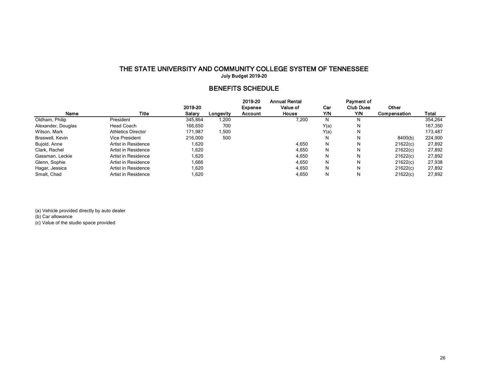# THE STATE UNIVERSITY AND COMMUNITY COLLEGE SYSTEM OF TENNESSEE July Budget 2019-20

# BENEFITS SCHEDULE

|                    |                           |         |           | 2019-20 | <b>Annual Rental</b> |      | Payment of       |              |         |
|--------------------|---------------------------|---------|-----------|---------|----------------------|------|------------------|--------------|---------|
|                    |                           | 2019-20 |           | Expense | Value of             | Car  | <b>Club Dues</b> | Other        |         |
| Name               | Title                     | Salary  | Longevity | Account | House                | Y/N  | Y/N              | Compensation | Total   |
| Oldham, Philip     | President                 | 345.864 | 200. ا    |         | 7,200                | N    | N                |              | 354,264 |
| Alexander, Douglas | Head Coach                | 166,650 | 700       |         |                      | Y(a) |                  |              | 167,350 |
| Wilson, Mark       | <b>Athletics Director</b> | 171.987 | 1,500     |         |                      | Y(a) |                  |              | 173,487 |
| Braswell, Kevin    | Vice President            | 216,000 | 500       |         |                      | N    | N                | 8400(b)      | 224,900 |
| Bujold, Anne       | Artist in Residence       | 1,620   |           |         | 4,650                | N    | N                | 21622(c)     | 27,892  |
| Clark, Rachel      | Artist in Residence       | 620. ا  |           |         | 4.650                | N    | N                | 21622(c)     | 27,892  |
| Gassman, Leckie    | Artist in Residence       | 620. ا  |           |         | 4,650                | N    | N                | 21622(c)     | 27,892  |
| Glenn, Sophie      | Artist in Residence       | 1,666   |           |         | 4.650                | N    | N                | 21622(c)     | 27,938  |
| Hagar, Jessica     | Artist in Residence       | 1.620   |           |         | 4.650                | N    | N                | 21622(c)     | 27.892  |
| Smalt, Chad        | Artist in Residence       | 1,620   |           |         | 4,650                | N    | N                | 21622(c)     | 27,892  |

(a) Vehicle provided directly by auto dealer (b) Car allowance (c) Value of the studio space provided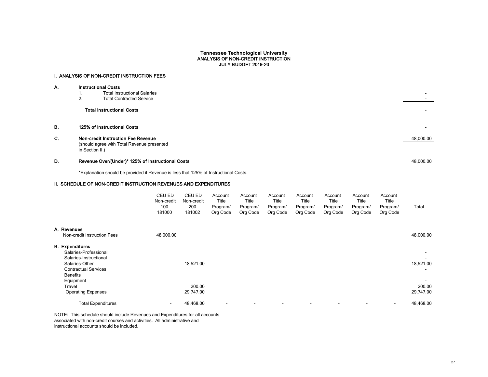# Tennessee Technological University ANALYSIS OF NON-CREDIT INSTRUCTION JULY BUDGET 2019-20

# I. ANALYSIS OF NON-CREDIT INSTRUCTION FEES

| Α.        | <b>Instructional Costs</b>                                                                                 |           |
|-----------|------------------------------------------------------------------------------------------------------------|-----------|
|           | <b>Total Instructional Salaries</b>                                                                        |           |
|           | 2.<br><b>Total Contracted Service</b>                                                                      |           |
|           | <b>Total Instructional Costs</b>                                                                           |           |
| <b>B.</b> | 125% of Instructional Costs                                                                                |           |
| C.        | <b>Non-credit Instruction Fee Revenue</b><br>(should agree with Total Revenue presented<br>in Section II.) | 48,000.00 |
| D.        | Revenue Over/(Under)* 125% of Instructional Costs                                                          | 48,000.00 |

\*Explanation should be provided if Revenue is less that 125% of Instructional Costs.

# II. SCHEDULE OF NON-CREDIT INSTRUCTION REVENUES AND EXPENDITURES

|                                                                                                                                                            | CEU ED<br>Non-credit<br>100<br>181000 | CEU ED<br>Non-credit<br>200<br>181002 | Account<br>Title<br>Program/<br>Org Code | Account<br>Title<br>Program/<br>Org Code | Account<br>Title<br>Program/<br>Org Code | Account<br>Title<br>Program/<br>Org Code | Account<br>Title<br>Program/<br>Org Code | Account<br><b>Title</b><br>Program/<br>Org Code | Account<br>Title<br>Program/<br>Org Code | Total               |
|------------------------------------------------------------------------------------------------------------------------------------------------------------|---------------------------------------|---------------------------------------|------------------------------------------|------------------------------------------|------------------------------------------|------------------------------------------|------------------------------------------|-------------------------------------------------|------------------------------------------|---------------------|
| A. Revenues                                                                                                                                                |                                       |                                       |                                          |                                          |                                          |                                          |                                          |                                                 |                                          |                     |
| Non-credit Instruction Fees                                                                                                                                | 48,000.00                             |                                       |                                          |                                          |                                          |                                          |                                          |                                                 |                                          | 48,000.00           |
| <b>B.</b> Expenditures<br>Salaries-Professional<br>Salaries-Instructional<br>Salaries-Other<br><b>Contractual Services</b><br><b>Benefits</b><br>Equipment |                                       | 18,521.00                             |                                          |                                          |                                          |                                          |                                          |                                                 |                                          | 18,521.00           |
| Travel<br><b>Operating Expenses</b>                                                                                                                        |                                       | 200.00<br>29,747.00                   |                                          |                                          |                                          |                                          |                                          |                                                 |                                          | 200.00<br>29,747.00 |
| <b>Total Expenditures</b>                                                                                                                                  | $\sim$                                | 48,468.00                             | $\blacksquare$                           |                                          |                                          | $\blacksquare$                           |                                          |                                                 |                                          | 48,468.00           |

NOTE: This schedule should include Revenues and Expenditures for all accounts associated with non-credit courses and activities. All administrative and instructional accounts should be included.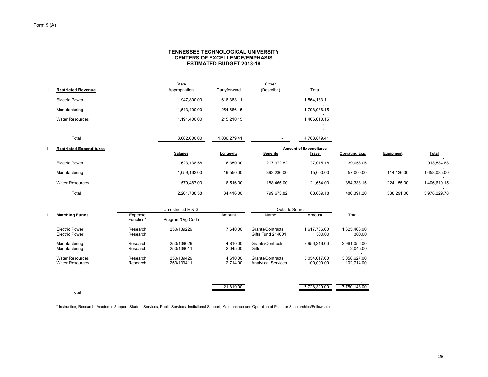## Form 9 (A)

## **CENTERS OF EXCELLENCE/EMPHASISTENNESSEE TECHNOLOGICAL UNIVERSITYESTIMATED BUDGET 2018-19**

| <b>Restricted Revenue</b>      | State<br>Appropriation | Carryforward | Other<br>(Describe) | Total                         |                       |            |              |
|--------------------------------|------------------------|--------------|---------------------|-------------------------------|-----------------------|------------|--------------|
| Electric Power                 | 947,800.00             | 616,383.11   |                     | 1,564,183.11                  |                       |            |              |
| Manufacturing                  | 1,543,400.00           | 254,686.15   |                     | 1,798,086.15                  |                       |            |              |
| <b>Water Resources</b>         | 1,191,400.00           | 215,210.15   |                     | 1,406,610.15                  |                       |            |              |
|                                |                        |              |                     |                               |                       |            |              |
| Total                          | 3,682,600.00           | 1,086,279.41 |                     | 4,768,879.41                  |                       |            |              |
| <b>Restricted Expenditures</b> |                        |              |                     | <b>Amount of Expenditures</b> |                       |            |              |
|                                | <b>Salaries</b>        | Longevity    | <b>Benefits</b>     | <b>Travel</b>                 | <b>Operating Exp.</b> | Equipment  | <b>Total</b> |
| <b>Electric Power</b>          | 623,138.58             | 6,350.00     | 217,972.82          | 27,015.18                     | 39,058.05             |            | 913,534.63   |
|                                |                        |              |                     |                               |                       |            |              |
| Manufacturing                  | 1,059,163.00           | 19,550.00    | 393,236.00          | 15,000.00                     | 57,000.00             | 114,136.00 | 1,658,085.00 |
| <b>Water Resources</b>         | 579,487.00             | 8,516.00     | 188,465.00          | 21,654.00                     | 384, 333. 15          | 224,155.00 | 1,406,610.15 |

|      |                                                  |                      | Unrestricted E & G       |                      | <b>Outside Source</b>                          |                            |                            |
|------|--------------------------------------------------|----------------------|--------------------------|----------------------|------------------------------------------------|----------------------------|----------------------------|
| III. | <b>Matching Funds</b>                            | Expense<br>Function* | Program/Org Code         | Amount               | Name                                           | Amount                     | Total                      |
|      | <b>Electric Power</b><br><b>Electric Power</b>   | Research<br>Research | 250/139229               | 7.640.00             | Grants/Contracts<br><b>Gifts Fund 214001</b>   | 1.617.766.00<br>300.00     | 1,625,406.00<br>300.00     |
|      | Manufacturing<br>Manufacturing                   | Research<br>Research | 250/139029<br>250/139011 | 4.810.00<br>2.045.00 | Grants/Contracts<br>Gifts                      | 2.956.246.00               | 2.961.056.00<br>2.045.00   |
|      | <b>Water Resources</b><br><b>Water Resources</b> | Research<br>Research | 250/139429<br>250/139411 | 4.610.00<br>2.714.00 | Grants/Contracts<br><b>Analytical Services</b> | 3.054.017.00<br>100.000.00 | 3,058,627.00<br>102.714.00 |
|      | Total                                            |                      |                          | 21,819.00            |                                                | 7,728,329.00               | 7,750,148.00               |

\* Instruction, Research, Academic Support, Student Services, Public Services, Instiutional Support, Maintenance and Operation of Plant, or Scholarships/Fellowships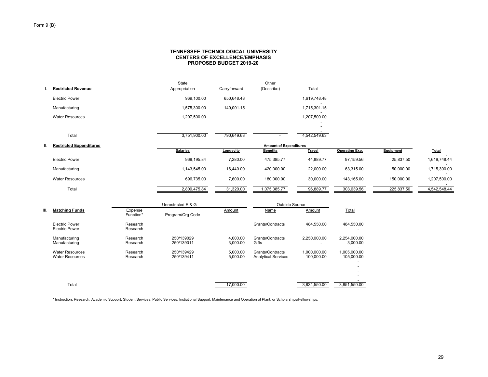#### **CENTERS OF EXCELLENCE/EMPHASISTENNESSEE TECHNOLOGICAL UNIVERSITY PROPOSED BUDGET 2019-20**

|     | <b>Restricted Revenue</b>      | State<br>Appropriation | Carryforward | Other<br>(Describe)           | Total        |                       |            |              |
|-----|--------------------------------|------------------------|--------------|-------------------------------|--------------|-----------------------|------------|--------------|
|     | <b>Electric Power</b>          | 969,100.00             | 650,648.48   |                               | 1,619,748.48 |                       |            |              |
|     | Manufacturing                  | 1,575,300.00           | 140,001.15   |                               | 1,715,301.15 |                       |            |              |
|     | <b>Water Resources</b>         | 1,207,500.00           |              |                               | 1,207,500.00 |                       |            |              |
|     | Total                          | 3,751,900.00           | 790,649.63   |                               | 4,542,549.63 |                       |            |              |
| ΙΙ. | <b>Restricted Expenditures</b> |                        |              | <b>Amount of Expenditures</b> |              |                       |            |              |
|     |                                | <b>Salaries</b>        | Longevity    | <b>Benefits</b>               | Travel       | <b>Operating Exp.</b> | Equipment  | <b>Total</b> |
|     | <b>Electric Power</b>          | 969,195.84             | 7,280.00     | 475,385.77                    | 44,889.77    | 97,159.56             | 25,837.50  | 1,619,748.44 |
|     | Manufacturing                  | 1,143,545.00           | 16,440.00    | 420,000.00                    | 22,000.00    | 63,315.00             | 50,000.00  | 1,715,300.00 |
|     | <b>Water Resources</b>         | 696,735.00             | 7,600.00     | 180,000.00                    | 30,000.00    | 143,165.00            | 150,000.00 | 1,207,500.00 |
|     | Total                          | 2,809,475.84           | 31,320.00    | 1,075,385.77                  | 96,889.77    | 303,639.56            | 225,837.50 | 4,542,548.44 |
|     |                                |                        |              |                               |              |                       |            |              |

|      |                                                  |                      | Unrestricted E & G       |                      | Outside Source                                 |                            |                            |
|------|--------------------------------------------------|----------------------|--------------------------|----------------------|------------------------------------------------|----------------------------|----------------------------|
| III. | <b>Matching Funds</b>                            | Expense<br>Function* | Program/Org Code         | Amount               | Name                                           | Amount                     | Total                      |
|      | <b>Electric Power</b><br><b>Electric Power</b>   | Research<br>Research |                          |                      | Grants/Contracts                               | 484.550.00                 | 484,550.00                 |
|      | Manufacturing<br>Manufacturing                   | Research<br>Research | 250/139029<br>250/139011 | 4.000.00<br>3.000.00 | Grants/Contracts<br>Gifts                      | 2.250.000.00               | 2,254,000.00<br>3,000.00   |
|      | <b>Water Resources</b><br><b>Water Resources</b> | Research<br>Research | 250/139429<br>250/139411 | 5.000.00<br>5.000.00 | Grants/Contracts<br><b>Analytical Services</b> | 1.000.000.00<br>100.000.00 | 1,005,000.00<br>105,000.00 |
|      | Total                                            |                      |                          | 17,000.00            |                                                | 3,834,550.00               | 3,851,550.00               |

\* Instruction, Research, Academic Support, Student Services, Public Services, Instiutional Support, Maintenance and Operation of Plant, or Scholarships/Fellowships.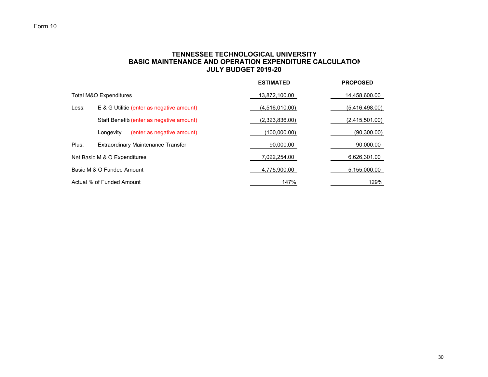# **TENNESSEE TECHNOLOGICAL UNIVERSITY BASIC MAINTENANCE AND OPERATION EXPENDITURE CALCULATIONJULY BUDGET 2019-20**

|       |                                           | <b>ESTIMATED</b> | <b>PROPOSED</b> |
|-------|-------------------------------------------|------------------|-----------------|
|       | Total M&O Expenditures                    | 13,872,100.00    | 14,458,600.00   |
| Less: | E & G Utilitie (enter as negative amount) | (4,516,010.00)   | (5,416,498.00)  |
|       | Staff Benefits (enter as negative amount) | (2,323,836.00)   | (2,415,501.00)  |
|       | (enter as negative amount)<br>Longevity   | (100,000.00)     | (90, 300.00)    |
| Plus: | <b>Extraordinary Maintenance Transfer</b> | 90,000.00        | 90,000.00       |
|       | Net Basic M & O Expenditures              | 7,022,254.00     | 6,626,301.00    |
|       | Basic M & O Funded Amount                 | 4,775,900.00     | 5,155,000.00    |
|       | Actual % of Funded Amount                 | 147%             | 129%            |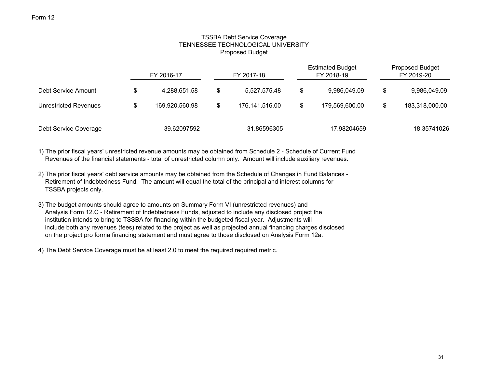# TSSBA Debt Service Coverage TENNESSEE TECHNOLOGICAL UNIVERSITYProposed Budget

|                       |    | FY 2016-17     | FY 2017-18         | <b>Estimated Budget</b><br>FY 2018-19 | <b>Proposed Budget</b><br>FY 2019-20 |                |  |
|-----------------------|----|----------------|--------------------|---------------------------------------|--------------------------------------|----------------|--|
| Debt Service Amount   | \$ | 4,288,651.58   | \$<br>5,527,575.48 | \$<br>9,986,049.09                    | \$.                                  | 9,986,049.09   |  |
| Unrestricted Revenues | S  | 169,920,560.98 | 176,141,516.00     | \$<br>179,569,600.00                  |                                      | 183,318,000.00 |  |
| Debt Service Coverage |    | 39.62097592    | 31.86596305        | 17.98204659                           |                                      | 18.35741026    |  |

1) The prior fiscal years' unrestricted revenue amounts may be obtained from Schedule 2 - Schedule of Current Fund Revenues of the financial statements - total of unrestricted column only. Amount will include auxiliary revenues.

- 2) The prior fiscal years' debt service amounts may be obtained from the Schedule of Changes in Fund Balances Retirement of Indebtedness Fund. The amount will equal the total of the principal and interest columns for TSSBA projects only.
- 3) The budget amounts should agree to amounts on Summary Form VI (unrestricted revenues) and Analysis Form 12.C - Retirement of Indebtedness Funds, adjusted to include any disclosed project the institution intends to bring to TSSBA for financing within the budgeted fiscal year. Adjustments will include both any revenues (fees) related to the project as well as projected annual financing charges disclosed on the project pro forma financing statement and must agree to those disclosed on Analysis Form 12a.

4) The Debt Service Coverage must be at least 2.0 to meet the required required metric.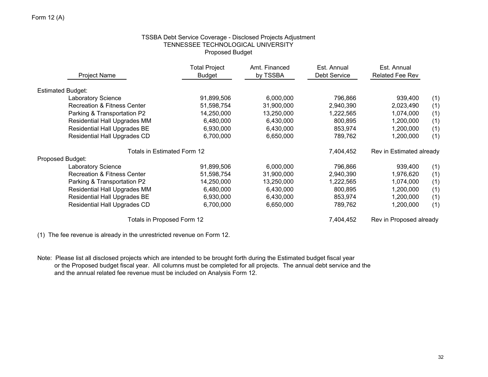# TSSBA Debt Service Coverage - Disclosed Projects Adjustment TENNESSEE TECHNOLOGICAL UNIVERSITY Proposed Budget

| Project Name                           | <b>Total Project</b><br><b>Budget</b> | Amt. Financed<br>by TSSBA | Est. Annual<br><b>Debt Service</b> | Est. Annual<br><b>Related Fee Rev</b> |     |
|----------------------------------------|---------------------------------------|---------------------------|------------------------------------|---------------------------------------|-----|
| <b>Estimated Budget:</b>               |                                       |                           |                                    |                                       |     |
| Laboratory Science                     | 91,899,506                            | 6,000,000                 | 796,866                            | 939,400                               | (1) |
| <b>Recreation &amp; Fitness Center</b> | 51,598,754                            | 31,900,000                | 2,940,390                          | 2,023,490                             | (1) |
| Parking & Transportation P2            | 14,250,000                            | 13,250,000                | 1,222,565                          | 1,074,000                             | (1) |
| <b>Residential Hall Upgrades MM</b>    | 6,480,000                             | 6,430,000                 | 800,895                            | 1,200,000                             | (1) |
| Residential Hall Upgrades BE           | 6,930,000                             | 6,430,000                 | 853,974                            | 1,200,000                             | (1) |
| <b>Residential Hall Upgrades CD</b>    | 6,700,000                             | 6,650,000                 | 789,762                            | 1,200,000                             | (1) |
| Totals in Estimated Form 12            |                                       |                           | 7,404,452                          | Rev in Estimated already              |     |
| Proposed Budget:                       |                                       |                           |                                    |                                       |     |
| Laboratory Science                     | 91,899,506                            | 6,000,000                 | 796,866                            | 939,400                               | (1) |
| <b>Recreation &amp; Fitness Center</b> | 51,598,754                            | 31,900,000                | 2,940,390                          | 1,976,620                             | (1) |
| Parking & Transportation P2            | 14,250,000                            | 13,250,000                | 1,222,565                          | 1,074,000                             | (1) |
| Residential Hall Upgrades MM           | 6,480,000                             | 6,430,000                 | 800,895                            | 1,200,000                             | (1) |
| Residential Hall Upgrades BE           | 6,930,000                             | 6,430,000                 | 853,974                            | 1,200,000                             | (1) |
| Residential Hall Upgrades CD           | 6,700,000                             | 6,650,000                 | 789,762                            | 1,200,000                             | (1) |
| Totals in Proposed Form 12             |                                       |                           | 7,404,452                          | Rev in Proposed already               |     |

(1) The fee revenue is already in the unrestricted revenue on Form 12.

Note: Please list all disclosed projects which are intended to be brought forth during the Estimated budget fiscal year or the Proposed budget fiscal year. All columns must be completed for all projects. The annual debt service and the and the annual related fee revenue must be included on Analysis Form 12.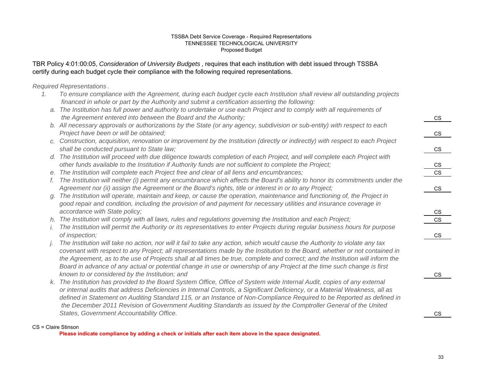## TSSBA Debt Service Coverage - Required Representations TENNESSEE TECHNOLOGICAL UNIVERSITYProposed Budget

# TBR Policy 4:01:00:05, *Consideration of University Budgets* , requires that each institution with debt issued through TSSBA certify during each budget cycle their compliance with the following required representations.

*Required Representations* .

- *1. To ensure compliance with the Agreement, during each budget cycle each Institution shall review all outstanding projects financed in whole or part by the Authority and submit a certification asserting the following:*
	- *a. The Institution has full power and authority to undertake or use each Project and to comply with all requirements of the Agreement entered into between the Board and the Authority;*
	- *b. All necessary approvals or authorizations by the State (or any agency, subdivision or sub-entity) with respect to each Project have been or will be obtained;*
	- *c. Construction, acquisition, renovation or improvement by the Institution (directly or indirectly) with respect to each Project* shall be conducted pursuant to State law;
	- *d. The Institution will proceed with due diligence towards completion of each Project, and will complete each Project with other funds available to the Institution if Authority funds are not sufficient to complete the Project;*
	- *e. The Institution will complete each Project free and clear of all liens and encumbrances;* CS
	- *f. The Institution will neither (i) permit any encumbrance which affects the Board's ability to honor its commitments under the* Agreement nor (ii) assign the Agreement or the Board's rights, title or interest in or to any Project;
	- *g. The Institution will operate, maintain and keep, or cause the operation, maintenance and functioning of, the Project in good repair and condition, including the provision of and payment for necessary utilities and insurance coverage in accordance with State policy;*
	- *h. The Institution will comply with all laws, rules and regulations governing the Institution and each Project;* CS
	- *i. The Institution will permit the Authority or its representatives to enter Projects during regular business hours for purpose of inspection;* CS
	- *j. The Institution will take no action, nor will it fail to take any action, which would cause the Authority to violate any tax covenant with respect to any Project; all representations made by the Institution to the Board, whether or not contained in the Agreement, as to the use of Projects shall at all times be true, complete and correct; and the Institution will inform the Board in advance of any actual or potential change in use or ownership of any Project at the time such change is first known to or considered by the Institution; and*
	- *k. The Institution has provided to the Board System Office, Office of System wide Internal Audit, copies of any external or internal audits that address Deficiencies in Internal Controls, a Significant Deficiency, or a Material Weakness, all as defined in Statement on Auditing Standard 115, or an Instance of Non-Compliance Required to be Reported as defined in the December 2011 Revision of Government Auditing Standards as issued by the Comptroller General of the United* **States, Government Accountability Office.**

## CS = Claire Stinson

**Please indicate compliance by adding a check or initials after each item above in the space designated.**

| $\overline{\text{cs}}$      |  |
|-----------------------------|--|
|                             |  |
| $\frac{cs}{1}$              |  |
|                             |  |
| $\overline{\text{cs}}$      |  |
|                             |  |
|                             |  |
| $rac{\text{CS}}{\text{CS}}$ |  |
|                             |  |
| $\overline{\text{cs}}$      |  |
|                             |  |
|                             |  |
|                             |  |
| $rac{\text{CS}}{\text{CS}}$ |  |
|                             |  |
| $\overline{\text{cs}}$      |  |
|                             |  |
|                             |  |
|                             |  |
|                             |  |
| $\overline{\text{cs}}$      |  |
|                             |  |
|                             |  |
|                             |  |
|                             |  |
| $\overline{\text{cs}}$      |  |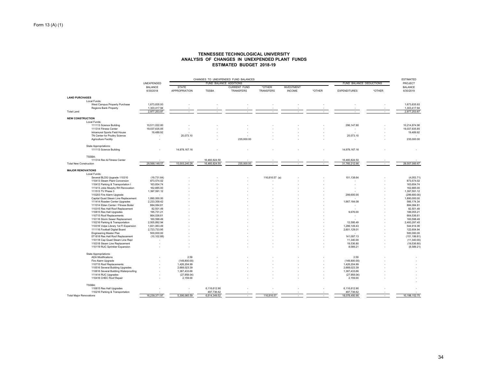#### **TENNESSEE TECHNOLOGICAL UNIVERSITY ANALYSIS OF CHANGES IN UNEXPENDED PLANT FUNDSESTIMATED BUDGET 2018-19**

|                                       |                             | CHANGES TO UNEXPENDED FUND BALANCES |                        |                                  |                     |                                    |        |                          |        |                             |  |
|---------------------------------------|-----------------------------|-------------------------------------|------------------------|----------------------------------|---------------------|------------------------------------|--------|--------------------------|--------|-----------------------------|--|
|                                       | UNEXPENDED                  |                                     | FUND BALANCE ADDITIONS |                                  |                     |                                    |        | FUND BALANCE DEDUCTIONS  |        | PROJECT                     |  |
|                                       | <b>BALANCE</b><br>6/30/2018 | <b>STATE</b><br>APPROPRIATION       | <b>TSSBA</b>           | <b>CURRENT FUND</b><br>TRANSFERS | *OTHER<br>TRANSFERS | <b>INVESTMENT</b><br><b>INCOME</b> | *OTHER | <b>EXPENDITURES</b>      | *OTHER | <b>BALANCE</b><br>6/30/2019 |  |
| <b>LAND PURCHASES</b>                 |                             |                                     |                        |                                  |                     |                                    |        |                          |        |                             |  |
| Local Funds:                          |                             |                                     |                        |                                  |                     |                                    |        |                          |        |                             |  |
| West Campus Property Purchase         | 1,673,835.93                |                                     |                        |                                  |                     |                                    |        |                          |        | 1,673,835.93                |  |
| <b>Regions Bank Property</b>          | 1,303,417.94                |                                     |                        |                                  |                     |                                    |        |                          |        | 1,303,417.94                |  |
| <b>Total Land</b>                     | 2,977,253.87                |                                     |                        |                                  |                     |                                    |        |                          |        | 2,977,253.87                |  |
| <b>NEW CONSTRUCTION</b>               |                             |                                     |                        |                                  |                     |                                    |        |                          |        |                             |  |
| Local Funds:                          |                             |                                     |                        |                                  |                     |                                    |        |                          |        |                             |  |
| 111113 Science Building               | 10,511,022.80               |                                     |                        |                                  |                     |                                    |        | 296, 147.90              |        | 10,214,874.90               |  |
| 111314 Fitness Center                 | 19,037,635.85               |                                     |                        |                                  |                     |                                    |        |                          |        | 19,037,635.85               |  |
| Intramural Sports Field House         | 19,489.92                   |                                     |                        |                                  |                     |                                    |        |                          |        | 19,489.92                   |  |
| TN Center for Poultry Science         | ٠                           | 25,073.10                           |                        |                                  |                     |                                    |        | 25,073.10                |        |                             |  |
| Agriculture Facility                  | ×                           |                                     |                        | 235.000.00                       |                     |                                    |        |                          |        | 235,000.00                  |  |
| <b>State Appropriations:</b>          |                             |                                     |                        |                                  |                     |                                    |        |                          |        |                             |  |
| 111113 Science Building               |                             | 14,978,167.16                       |                        |                                  |                     |                                    |        | 14,978,167.16            |        |                             |  |
| TSSBA:                                |                             |                                     |                        |                                  |                     |                                    |        |                          |        |                             |  |
| 111314 Rec & Fitness Center           |                             |                                     | 16,460,824.50          |                                  |                     |                                    |        | 16,460,824.50            |        |                             |  |
| <b>Total New Construction</b>         | 29,568,148.57               | 15,003,240.26                       | 16,460,824.50          | 235,000.00                       |                     |                                    | $\sim$ | 31,760,212.66            |        | 29,507,000.67               |  |
| <b>MAJOR RENOVATIONS</b>              |                             |                                     |                        |                                  |                     |                                    |        |                          |        |                             |  |
| Local Funds:                          |                             |                                     |                        |                                  |                     |                                    |        |                          |        |                             |  |
| Several BLDG Upgrade 110310           | (19, 731.64)                |                                     |                        |                                  | 116,816.57 (a)      |                                    |        | 101,138.64               |        | (4,053.71)                  |  |
| 110413 Steam Plant Conversion         | 873,574.02                  |                                     |                        |                                  |                     |                                    |        |                          |        | 873,574.02                  |  |
| 110412 Parking & Transportation I     | 163,654.74                  |                                     |                        |                                  |                     |                                    |        |                          |        | 163,654.74                  |  |
| 111413 Jobe Murphy RH Renovation      | 162,885.00                  |                                     |                        |                                  |                     |                                    |        |                          |        | 162,885.00                  |  |
| 111513 TV Phase 3                     | 1,397,591.12                |                                     |                        |                                  |                     |                                    |        |                          |        | 1,397,591.12                |  |
| 110203 Fire Alarm Upgrade             |                             |                                     |                        |                                  |                     |                                    |        | 299,600.00               |        | (299,600.00)                |  |
| Capital Quad Steam Line Replacement   | 1,890,000.00                |                                     |                        |                                  |                     |                                    |        |                          |        | 1,890,000.00                |  |
| 111414 Roaden Center Upgrades         | 2,233,358.42                |                                     |                        |                                  |                     |                                    |        | 1,667,184.08             |        | 566, 174.34                 |  |
| 111014 Eblen Center / Fitness Boiler  | 884,084.81                  |                                     |                        |                                  |                     |                                    |        |                          |        | 884,084.81                  |  |
| 110315 Res Hall Roof Replacement      | 82,501.49                   |                                     |                        |                                  |                     |                                    |        |                          |        | 82,501.49                   |  |
| 110815 Res Hall Upgrades              | 195,731.21                  |                                     |                        |                                  |                     |                                    |        | 9,676.00                 |        | 186,055.21                  |  |
| 110715 Roof Replacements              | 664,536.61                  |                                     |                        |                                  |                     |                                    |        | $\overline{\phantom{a}}$ |        | 664,536.61                  |  |
| 110116 Storm Sewer Replacement        | 160,598.49                  |                                     |                        |                                  |                     |                                    |        |                          |        | 160,598.49                  |  |
| 110216 Parking & Transportation       | 2,505,892.94                |                                     |                        |                                  |                     |                                    |        | 12,595.49                |        | 2,493,297.45                |  |
| 110316 Volpe Library 1st FI Expansion | 1,831,063.49                |                                     |                        |                                  |                     |                                    |        | 1,286,149.43             |        | 544,914.06                  |  |
| 111116 Football Digital Board         | 2,723,733.95                |                                     |                        |                                  |                     |                                    |        | 2,601,129.01             |        | 122,604.94                  |  |
| <b>Engineering Master Plan</b>        | 500,000.00                  |                                     |                        |                                  |                     |                                    |        |                          |        | 500,000.00                  |  |
| 071818 Res Hall Roof Replacement      | (10, 102.68)                |                                     |                        |                                  |                     |                                    |        | 141.097.13               |        | (151, 199.81)               |  |
| 110118 Cap Quad Steam Line Repl       |                             |                                     |                        |                                  |                     |                                    |        | 11,340.00                |        | (11,340.00)                 |  |
| 110318 Steam Line Replacement         | ٠                           |                                     |                        |                                  |                     |                                    |        | 19,536.80                |        | (19, 536.80)                |  |
| 110119 RUC Sprinkler Expansion        |                             |                                     |                        |                                  |                     |                                    |        | 8,589.21                 |        | (8,589.21)                  |  |
| State Appropriations:                 |                             |                                     |                        |                                  |                     |                                    |        |                          |        |                             |  |
| <b>ADA Modifications</b>              |                             | 2.59                                |                        |                                  |                     |                                    |        | 2.59                     |        |                             |  |
| Fire Alarm Upgrade                    |                             | (149,800.00)                        |                        |                                  |                     |                                    |        | (149, 800.00)            |        |                             |  |
| 110715 Roof Replacements              |                             | 1,426,204.99                        |                        |                                  |                     |                                    |        | 1,426,204.99             |        |                             |  |
| 110516 Several Building Upgrades      |                             | 2,668,023.39                        |                        |                                  |                     |                                    |        | 2,668,023.39             |        |                             |  |
| 110616 Several Building Waterproofing |                             | 1,387,433.66                        |                        |                                  |                     |                                    |        | 1,387,433.66             |        |                             |  |
| 111414 RUC Upgrades                   |                             | (27,958.04)                         |                        |                                  |                     |                                    |        | (27,958.04)              |        |                             |  |
| 110416 CHEC Roof Repair               |                             | 2,159.00                            |                        |                                  |                     |                                    |        | 2,159.00                 |        |                             |  |
| TSSBA:                                |                             |                                     |                        |                                  |                     |                                    |        |                          |        |                             |  |
| 110815 Res Hall Upgrades              |                             |                                     | 6,116,612.90           |                                  |                     |                                    |        | 6,116,612.90             |        |                             |  |
| 110216 Parking & Transportation       |                             |                                     | 497,736.62             |                                  |                     |                                    |        | 497,736.62               |        |                             |  |
| <b>Total Major Renovations</b>        | 16,239,371.97               | 5,306,065.59                        | 6,614,349.52           | i.                               | 116,816.57          |                                    |        | 18,078,450.90            |        | 10,198,152.75               |  |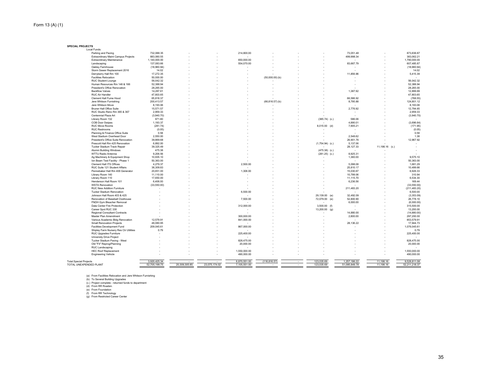**SPECIAL PROJECTS**Local Funds:

| Parking and Paving                     | 732,088.35    |               |               | 214,800.00   |                          |                          |                          | 73,051.48     |                | 873,836.87    |
|----------------------------------------|---------------|---------------|---------------|--------------|--------------------------|--------------------------|--------------------------|---------------|----------------|---------------|
| Extraordinary Maint Campus Projects    | 883,060.55    |               |               | ۰            |                          |                          |                          | 499,998.34    |                | 383,062.21    |
| Extraordinary Maintenance              | 1,140,000.00  |               |               | 650,000.00   |                          |                          |                          |               |                | 1,790,000.00  |
| Landscaping                            | 137,083.66    |               |               | 554,070.00   |                          |                          |                          | 83,667.79     |                | 607,485.87    |
|                                        |               |               |               |              |                          |                          |                          |               |                |               |
| Oakley Farmhouse                       | (18,960.94)   |               |               |              |                          |                          |                          |               |                | (18,960.94)   |
| Storm Sewer Replacement 2016           | 14.02         |               |               |              |                          |                          |                          |               |                | 14.02         |
| Derryberry Hall Rm 100                 | 17,272.35     |               |               |              |                          |                          |                          | 11,856.96     |                | 5,415.39      |
| <b>Facilities Relocation</b>           | 50,000.00     |               |               |              | $(50,000.00)$ (b)        |                          |                          |               |                |               |
| RUC Student Lounge                     | 56,042.32     |               |               |              |                          |                          |                          |               |                | 56,042.32     |
| Human Resources Rm 146 & 166           | 52,388.94     |               |               |              |                          |                          |                          |               |                | 52.388.94     |
| President's Office Renovation          | 28,265.00     |               |               |              |                          |                          |                          |               |                | 28,265.00     |
| <b>Backflow Valves</b>                 | 14,287.61     |               |               |              |                          |                          |                          | 1.387.92      |                | 12,899.69     |
| RUC Air Handler                        | 47,803.65     |               |               |              |                          |                          |                          |               |                | 47,803.65     |
| Clement Hall Fume Hood                 | 65,818.37     |               |               |              |                          |                          |                          | 66,586.92     |                | (768.55)      |
|                                        |               |               |               |              |                          |                          |                          |               |                |               |
| Jere Whitson Furnishing                | 200,413.57    |               |               |              | $(66, 816.57)$ (b)       |                          |                          | 8,795.88      |                | 124,801.12    |
| Jere Whitson Move                      | 8,193.06      |               |               |              |                          |                          |                          |               |                | 8,193.06      |
| <b>Bruner Hall Office Suite</b>        | 15,571.57     |               |               |              |                          |                          |                          | 2,776.92      |                | 12,794.65     |
| RUC Studio Reno Rm 365 & 367           | 2,959.33      |               |               |              |                          |                          |                          |               |                | 2,959.33      |
| Centennial Plaza Art                   | (3,940.70)    |               |               |              |                          |                          |                          |               |                | (3,940.70)    |
| Library Room 132                       | 971.80        |               |               |              |                          |                          | $(385.74)$ (c.)          | 586.06        |                |               |
| <b>COB Door Swipes</b>                 | 1,193.37      |               |               |              |                          |                          |                          | 4,890.01      |                | (3,696.64)    |
| <b>RUC Move Rooms</b>                  | (281.74)      |               |               |              |                          |                          | 8,015.00 (d)             | 7,905.21      |                | (171.95)      |
| <b>RUC Restrooms</b>                   | (0.05)        |               |               |              |                          |                          |                          |               |                | (0.05)        |
| Planning & Finance Office Suite        | 0.58          |               |               |              |                          |                          | $\overline{\phantom{a}}$ |               |                | 0.58          |
| West Stadium Overhead Door             | 2,550.00      |               |               |              |                          |                          |                          | 2,548.62      |                | 1.38          |
|                                        |               |               |               |              |                          |                          |                          |               |                |               |
| President's Office Suite Renovation    | 39,869.68     |               |               |              |                          |                          |                          | 26.901.76     |                | 12.967.92     |
| Prescott Hall Rm 425 Renovation        | 6,892.00      |               |               |              |                          |                          | $(1,754.94)$ (c.)        | 5,137.06      |                |               |
| Tucker Stadium Track Repair            | 39,325.49     |               |               |              |                          |                          |                          | 28,127.33     | 11,198.16 (c.) |               |
| Alumni Building Windows                | 475.38        |               |               |              |                          |                          | $(475.38)$ (c.)          | $\sim$        |                |               |
| WTTU Radio Antenna                     | 9,206.56      |               |               |              |                          |                          | $(281.25)$ (c.)          | 8,925.31      |                |               |
| Ag Machinery & Equipment Shop          | 10,935.10     |               |               |              |                          |                          |                          | 1,360.00      |                | 9.575.10      |
| Ion Beam Test Facility - Phase 1       | 50,363.00     |               |               |              |                          |                          |                          |               |                | 50,363.00     |
| Clement Hall ITS Offices               | 4,279.37      |               |               | 2,500.00     |                          |                          |                          | 5,098.08      |                | 1,681.29      |
| RUC Suite 121 Student Affairs          | 36,309.83     |               |               | ٠            |                          |                          |                          | 25,810.17     |                | 10,499.66     |
| Pennebaker Hall Rm 406 Generator       | 20,651.00     |               |               | 1,306.00     |                          |                          |                          | 15,030.67     |                | 6,926.33      |
|                                        |               |               |               | ٠            |                          |                          |                          |               |                | 310.94        |
| Library Room 140                       | 11,110.00     |               |               |              |                          |                          |                          | 10,799.06     |                |               |
| Library Room 110                       | 17,650.00     |               |               |              |                          |                          |                          | 11,115.70     |                | 6,534.30      |
| Henderson Hall Room 101                | 6,406.00      |               |               |              |                          |                          |                          | 6,236.56      |                | 169.44        |
| <b>WSTA Renovation</b>                 | (33,550.00)   |               |               |              |                          |                          |                          |               |                | (33,550.00)   |
| RUC New Addition Furniture             |               |               |               |              |                          |                          |                          | 211,483.20    |                | (211, 483.20) |
| <b>Tucker Stadium Renovation</b>       |               |               |               | 6,500.00     |                          |                          |                          |               |                | 6,500.00      |
| Johnson Hall Room 403 & 425            |               |               |               |              |                          |                          | 29,139.00 (e)            | 32,492.09     |                | (3,353.09)    |
| Renovation of Baseball Clubhouse       |               |               |               | 7,500.00     |                          |                          | 72,079.00 (e)            | 52,800.90     |                | 26,778.10     |
| FNDH Gym Bleacher Removal              |               |               |               | ×            |                          |                          |                          | 6,000.00      |                | (6,000.00)    |
| Data Center Fire Protection            |               |               |               | 312,000.00   |                          |                          | $3,500.00$ (f)           |               |                | 315,500.00    |
| Career Spot RUC 330                    |               |               |               |              |                          |                          | 13,200.00 (g)            |               |                | 13,200.00     |
|                                        |               |               |               | ٠            |                          |                          |                          |               |                |               |
| <b>Regional Consultant Contracts</b>   |               |               |               |              |                          |                          |                          | 14,880.00     |                | (14,880.00)   |
| Master Plan Amendment                  |               |               |               | 300,000.00   |                          |                          |                          | 2,800.00      |                | 297,200.00    |
| Various Academic Bldg Renovation       | 12,579.91     |               |               | 841,000.00   |                          |                          |                          |               |                | 853,579.91    |
| <b>Small Renovation Projects</b>       | 46,080.95     |               |               |              |                          |                          |                          | 28,136.22     | $\sim$         | 17,944.73     |
| Facilities Development Fund            | 209,045.61    |               |               | 867,000.00   |                          |                          |                          |               |                | 1,076,045.61  |
| Shipley Farm Nursery Res Ctr Utilities | 0.79          |               |               |              |                          |                          |                          |               |                | 0.79          |
| RUC Upgrades Furniture                 |               |               |               | 225,400.00   |                          |                          |                          |               |                | 225,400.00    |
| University Drive Project               |               |               |               | ٠            |                          |                          |                          |               |                |               |
| Tucker Stadium Paving - West           |               |               |               | 828,475.00   |                          |                          |                          |               |                | 828,475.00    |
| Old "Fit" Reprog/Planning              |               |               |               | 20,000.00    |                          |                          |                          |               |                | 20,000.00     |
| RUC Landscaping                        |               |               |               |              |                          |                          |                          |               |                |               |
|                                        |               |               |               |              |                          |                          |                          |               |                |               |
| <b>HEC Roof Replacement</b>            |               |               |               | 1,550,000.00 |                          |                          |                          |               |                | 1,550,000.00  |
| <b>Engineering Vehicle</b>             |               |               |               | 490,000.00   |                          |                          |                          |               |                | 490,000.00    |
|                                        |               |               |               |              |                          |                          |                          |               |                |               |
| <b>Total Special Projects</b>          | 3,920,425.34  |               |               | 6,870,551.00 | (116, 816.57)            |                          | 123,035.69               | 1,257,186.22  | 11,198.16      | 9,528,811.08  |
| TOTAL UNEXPENDED PLANT                 | 52,705,199.75 | 20.309.305.85 | 23.075.174.02 | 7,105,551.00 | $\overline{\phantom{a}}$ | $\overline{\phantom{a}}$ | 123.035.69               | 51,095,849.78 | 11.198.16      | 52,211,218.37 |

(a) From Facilities Relocation and Jere Whitson Furnishing<br>(b) To Several Building Upgrades<br>(c.) Project complete - returned funds to department<br>(d) From RR Roaden.<br>(e) From Retirctied Career Center<br>(g) From Restricted Car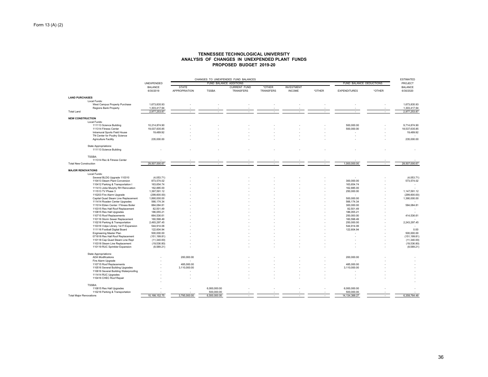#### **TENNESSEE TECHNOLOGICAL UNIVERSITY ANALYSIS OF CHANGES IN UNEXPENDED PLANT FUNDSPROPOSED BUDGET 2019-20**

|                                                                 |                             | CHANGES TO UNEXPENDED FUND BALANCES |                            |                                  |                            |                                    |        |                            |        |                             |  |
|-----------------------------------------------------------------|-----------------------------|-------------------------------------|----------------------------|----------------------------------|----------------------------|------------------------------------|--------|----------------------------|--------|-----------------------------|--|
|                                                                 | UNEXPENDED                  |                                     | FUND BALANCE ADDITIONS     |                                  |                            |                                    |        | FUND BALANCE DEDUCTIONS    |        | PROJECT                     |  |
|                                                                 | <b>BALANCE</b><br>6/30/2019 | <b>STATE</b><br>APPROPRIATION       | <b>TSSBA</b>               | <b>CURRENT FUND</b><br>TRANSFERS | *OTHER<br><b>TRANSFERS</b> | <b>INVESTMENT</b><br><b>INCOME</b> | *OTHER | <b>EXPENDITURES</b>        | *OTHER | <b>BALANCE</b><br>6/30/2020 |  |
| <b>LAND PURCHASES</b>                                           |                             |                                     |                            |                                  |                            |                                    |        |                            |        |                             |  |
| Local Funds:                                                    |                             |                                     |                            |                                  |                            |                                    |        |                            |        |                             |  |
| West Campus Property Purchase                                   | 1,673,835.93                |                                     |                            |                                  |                            |                                    |        |                            |        | 1,673,835.93                |  |
| Regions Bank Property                                           | 1,303,417.94                |                                     |                            |                                  |                            |                                    |        |                            |        | 1,303,417.94                |  |
| <b>Total Land</b>                                               | 2,977,253.87                |                                     |                            |                                  |                            |                                    |        |                            |        | 2,977,253.87                |  |
| <b>NEW CONSTRUCTION</b>                                         |                             |                                     |                            |                                  |                            |                                    |        |                            |        |                             |  |
| Local Funds:                                                    |                             |                                     |                            |                                  |                            |                                    |        |                            |        |                             |  |
| 111113 Science Building                                         | 10,214,874.90               |                                     |                            |                                  |                            |                                    |        | 500,000.00                 |        | 9,714,874.90                |  |
| 111314 Fitness Center                                           | 19,037,635.85               |                                     |                            |                                  |                            |                                    |        | 500,000.00                 |        | 18,537,635.85               |  |
| Intramural Sports Field House                                   | 19,489.92                   |                                     |                            |                                  |                            |                                    |        |                            |        | 19,489.92                   |  |
| TN Center for Poultry Science                                   |                             |                                     |                            |                                  |                            |                                    |        |                            |        |                             |  |
| Agriculture Facility                                            | 235,000.00                  |                                     |                            |                                  |                            |                                    |        |                            | ٠      | 235,000.00                  |  |
| State Appropriations:                                           |                             |                                     |                            |                                  |                            |                                    |        |                            |        |                             |  |
| 111113 Science Building                                         |                             |                                     |                            |                                  |                            |                                    |        |                            |        |                             |  |
|                                                                 |                             |                                     |                            |                                  |                            |                                    |        |                            |        |                             |  |
| TSSBA:                                                          |                             |                                     |                            |                                  |                            |                                    |        |                            |        |                             |  |
| 111314 Rec & Fitness Center                                     |                             |                                     |                            |                                  |                            |                                    |        |                            |        |                             |  |
| <b>Total New Construction</b>                                   | 29,507,000.67               | $\overline{\phantom{a}}$            |                            | $\overline{\phantom{a}}$         |                            |                                    | $\sim$ | 1,000,000.00               | $\sim$ | 28,507,000.67               |  |
| <b>MAJOR RENOVATIONS</b>                                        |                             |                                     |                            |                                  |                            |                                    |        |                            |        |                             |  |
| Local Funds:                                                    |                             |                                     |                            |                                  |                            |                                    |        |                            |        |                             |  |
| Several BLDG Upgrade 110310                                     | (4,053.71)                  |                                     |                            |                                  |                            |                                    |        |                            |        | (4,053.71)                  |  |
| 110413 Steam Plant Conversion                                   | 873,574.02                  |                                     |                            |                                  |                            |                                    |        | 300,000.00                 |        | 573,574.02                  |  |
| 110412 Parking & Transportation I                               | 163,654.74                  |                                     |                            |                                  |                            |                                    |        | 163,654.74                 |        | ٠                           |  |
| 111413 Jobe Murphy RH Renovation                                | 162,885.00                  |                                     |                            |                                  |                            |                                    |        | 162,885.00                 |        |                             |  |
| 111513 TV Phase 3                                               | 1,397,591.12                |                                     |                            |                                  |                            |                                    |        | 250,000.00                 |        | 1,147,591.12                |  |
| 110203 Fire Alarm Upgrade                                       | (299, 600.00)               |                                     |                            |                                  |                            |                                    |        |                            |        | (299,600.00                 |  |
| Capital Quad Steam Line Replacement                             | 1,890,000.00                |                                     |                            |                                  |                            |                                    |        | 500,000.00                 |        | 1,390,000.00                |  |
| 111414 Roaden Center Upgrades                                   | 566, 174.34                 |                                     |                            |                                  |                            |                                    |        | 566, 174.34                |        |                             |  |
| 111014 Eblen Center / Fitness Boiler                            | 884,084.81                  |                                     |                            |                                  |                            |                                    |        | 300,000.00                 |        | 584,084.81                  |  |
| 110315 Res Hall Roof Replacement                                | 82,501.49                   |                                     |                            |                                  |                            |                                    |        | 82,501.49                  |        |                             |  |
| 110815 Res Hall Upgrades                                        | 186,055.21                  |                                     |                            |                                  |                            |                                    |        | 186,055.21                 |        |                             |  |
| 110715 Roof Replacements                                        | 664,536.61                  |                                     |                            |                                  |                            |                                    |        | 250,000.00                 |        | 414,536.61                  |  |
| 110116 Storm Sewer Replacement                                  | 160,598.49                  |                                     |                            |                                  |                            |                                    |        | 160,598.49                 |        |                             |  |
| 110216 Parking & Transportation                                 | 2,493,297.45                |                                     |                            |                                  |                            |                                    |        | 250,000.00                 |        | 2,243,297.45                |  |
| 110316 Volpe Library 1st FI Expansion                           | 544,914.06                  |                                     |                            |                                  |                            |                                    |        | 544,914.06                 |        |                             |  |
| 111116 Football Digital Board                                   |                             |                                     |                            |                                  |                            |                                    |        | 122,604.94                 |        | 0.00                        |  |
| <b>Engineering Master Plan</b>                                  | 122,604.94<br>500,000.00    |                                     |                            |                                  |                            |                                    |        |                            |        | 500,000.00                  |  |
| 071818 Res Hall Roof Replacement                                | (151, 199.81)               |                                     |                            |                                  |                            |                                    |        |                            |        | (151, 199.81)               |  |
|                                                                 |                             |                                     |                            |                                  |                            |                                    |        |                            |        |                             |  |
| 110118 Cap Quad Steam Line Repl                                 | (11,340.00)                 |                                     |                            |                                  |                            |                                    |        |                            |        | (11,340.00)                 |  |
| 110318 Steam Line Replacement<br>110119 RUC Sprinkler Expansion | (19, 536.80)<br>(8,589.21)  |                                     |                            |                                  |                            |                                    |        |                            |        | (19, 536.80)<br>(8,589.21)  |  |
|                                                                 |                             |                                     |                            |                                  |                            |                                    |        |                            |        |                             |  |
| State Appropriations:                                           |                             |                                     |                            |                                  |                            |                                    |        |                            |        |                             |  |
| <b>ADA</b> Modifications                                        |                             | 200,000.00                          |                            |                                  |                            |                                    |        | 200,000.00                 |        |                             |  |
| Fire Alarm Upgrade                                              |                             | ٠                                   |                            |                                  |                            |                                    |        |                            |        |                             |  |
| 110715 Roof Replacements                                        |                             | 485,000.00                          |                            |                                  |                            |                                    |        | 485,000.00                 |        |                             |  |
| 110516 Several Building Upgrades                                |                             | 3,110,000.00                        |                            |                                  |                            |                                    |        | 3,110,000.00               |        |                             |  |
| 110616 Several Building Waterproofing                           |                             |                                     |                            |                                  |                            |                                    |        |                            |        |                             |  |
| 111414 RUC Upgrades                                             |                             |                                     |                            |                                  |                            |                                    |        |                            |        |                             |  |
| 110416 CHEC Roof Repair                                         |                             |                                     |                            |                                  |                            |                                    |        |                            |        |                             |  |
| <b>TSSBA:</b>                                                   |                             |                                     |                            |                                  |                            |                                    |        |                            |        |                             |  |
|                                                                 |                             |                                     |                            |                                  |                            |                                    |        |                            |        |                             |  |
| 110815 Res Hall Upgrades<br>110216 Parking & Transportation     |                             |                                     | 6,000,000.00<br>500,000.00 |                                  |                            |                                    |        | 6,000,000.00<br>500,000.00 |        |                             |  |
| <b>Total Major Renovations</b>                                  | 10,198,152.75               | 3,795,000.00                        | 6,500,000.00               |                                  |                            |                                    |        |                            |        | 6,358,764.48                |  |
|                                                                 |                             |                                     |                            |                                  |                            |                                    |        | 14, 134, 388.27            |        |                             |  |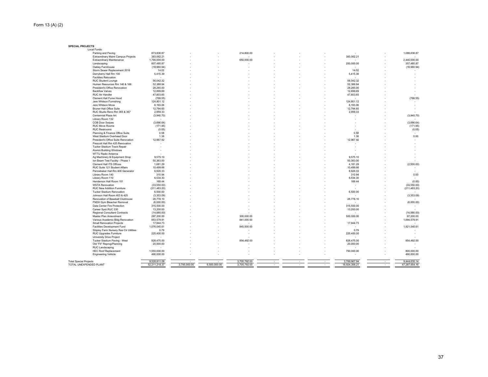**SPECIAL PROJECTS**

|                                                         | Parking and Paving<br><b>Extraordinary Maint Campus Projects</b><br><b>Extraordinary Maintenance</b><br>Landscaping<br>Oakley Farmhouse | 873,836.87<br>383,062.21<br>1,790,000.00 |              |              | 214,800.00   |  |        | 383,062.21    |   | 1,088,636.87  |
|---------------------------------------------------------|-----------------------------------------------------------------------------------------------------------------------------------------|------------------------------------------|--------------|--------------|--------------|--|--------|---------------|---|---------------|
|                                                         |                                                                                                                                         |                                          |              |              |              |  |        |               |   |               |
|                                                         |                                                                                                                                         |                                          |              |              |              |  |        |               |   |               |
|                                                         |                                                                                                                                         |                                          |              |              | 650,000.00   |  |        |               |   | 2,440,000.00  |
|                                                         |                                                                                                                                         | 607,485.87                               |              |              |              |  |        | 250,000.00    |   | 357,485.87    |
|                                                         |                                                                                                                                         | (18,960.94)                              |              |              |              |  |        |               |   | (18,960.94)   |
|                                                         | Storm Sewer Replacement 2016                                                                                                            | 14.02                                    |              |              |              |  |        | 14.02         |   |               |
|                                                         | Derryberry Hall Rm 100                                                                                                                  | 5,415.39                                 |              |              |              |  |        | 5,415.39      |   |               |
|                                                         | <b>Facilities Relocation</b>                                                                                                            | $\overline{\phantom{a}}$                 |              |              |              |  |        |               |   |               |
|                                                         |                                                                                                                                         |                                          |              |              |              |  |        |               |   |               |
|                                                         | <b>RUC Student Lounge</b>                                                                                                               | 56,042.32                                |              |              |              |  |        | 56,042.32     |   |               |
|                                                         | Human Resources Rm 146 & 166                                                                                                            | 52.388.94                                |              |              |              |  |        | 52.388.94     |   |               |
|                                                         | President's Office Renovation                                                                                                           | 28,265.00                                |              |              |              |  |        | 28,265.00     |   |               |
|                                                         | <b>Backflow Valves</b>                                                                                                                  | 12,899.69                                |              |              |              |  |        | 12,899.69     |   |               |
|                                                         | <b>RUC Air Handler</b>                                                                                                                  | 47,803.65                                |              |              |              |  |        | 47,803.65     |   |               |
|                                                         | Clement Hall Fume Hood                                                                                                                  | (768.55)                                 |              |              |              |  |        |               |   | (768.55)      |
|                                                         | Jere Whitson Furnishing                                                                                                                 | 124,801.12                               |              |              |              |  |        | 124,801.12    |   |               |
|                                                         | Jere Whitson Move                                                                                                                       | 8,193.06                                 |              |              |              |  |        | 8,193.06      |   |               |
|                                                         | <b>Bruner Hall Office Suite</b>                                                                                                         | 12,794.65                                |              |              |              |  |        | 12,794.65     |   |               |
|                                                         | RUC Studio Reno Rm 365 & 367                                                                                                            | 2,959.33                                 |              |              |              |  |        | 2,959.33      |   |               |
|                                                         | Centennial Plaza Art                                                                                                                    | (3,940.70)                               |              |              |              |  |        |               |   | (3,940.70)    |
|                                                         | Library Room 132                                                                                                                        |                                          |              |              |              |  |        |               |   |               |
|                                                         | COB Door Swipes                                                                                                                         | (3,696.64)                               |              |              |              |  |        |               |   | (3,696.64)    |
|                                                         | <b>RUC Move Rooms</b>                                                                                                                   | (171.95)                                 |              |              |              |  |        |               |   | (171.95)      |
|                                                         |                                                                                                                                         |                                          |              |              |              |  |        |               |   |               |
|                                                         | <b>RUC Restrooms</b>                                                                                                                    | (0.05)                                   |              |              |              |  |        |               |   | (0.05)        |
|                                                         | Planning & Finance Office Suite                                                                                                         | 0.58                                     |              |              |              |  |        | 0.58          |   |               |
|                                                         | West Stadium Overhead Door                                                                                                              | 1.38                                     |              |              |              |  |        | 1.38          |   | 0.00          |
|                                                         | President's Office Suite Renovation                                                                                                     | 12,967.92                                |              |              |              |  |        | 12,967.92     |   |               |
|                                                         | Prescott Hall Rm 425 Renovation                                                                                                         |                                          |              |              |              |  |        |               |   |               |
|                                                         | Tucker Stadium Track Repair                                                                                                             |                                          |              |              |              |  |        |               |   |               |
|                                                         | Alumni Building Windows                                                                                                                 |                                          |              |              |              |  |        |               |   |               |
|                                                         | WTTU Radio Antenna                                                                                                                      |                                          |              |              |              |  |        |               |   |               |
|                                                         | Ag Machinery & Equipment Shop                                                                                                           | 9,575.10                                 |              |              |              |  |        | 9,575.10      |   |               |
|                                                         | Ion Beam Test Facility - Phase 1                                                                                                        | 50,363.00                                |              |              |              |  |        | 50,363.00     |   |               |
|                                                         | Clement Hall ITS Offices                                                                                                                | 1,681.29                                 |              |              |              |  |        | 4,181.29      |   | (2,500.00)    |
|                                                         | RUC Suite 121 Student Affairs                                                                                                           | 10,499.66                                |              |              |              |  |        | 10,499.66     |   |               |
|                                                         | Pennebaker Hall Rm 406 Generator                                                                                                        | 6,926.33                                 |              |              |              |  |        | 6,926.33      |   |               |
|                                                         | Library Room 140                                                                                                                        | 310.94                                   |              |              |              |  |        | 310.94        |   | 0.00          |
|                                                         |                                                                                                                                         | 6,534.30                                 |              |              |              |  |        | 6,534.30      |   |               |
|                                                         | Library Room 110                                                                                                                        |                                          |              |              |              |  |        |               |   |               |
|                                                         | Henderson Hall Room 101                                                                                                                 | 169.44                                   |              |              |              |  |        | 169.44        |   | (0.00)        |
|                                                         | <b>WSTA Renovation</b>                                                                                                                  | (33,550.00)                              |              |              |              |  |        |               |   | (33, 550.00)  |
|                                                         | RUC New Addition Furniture                                                                                                              | (211, 483.20)                            |              |              |              |  |        |               |   | (211, 483.20) |
|                                                         | <b>Tucker Stadium Renovation</b>                                                                                                        | 6,500.00                                 |              |              |              |  |        | 6,500.00      |   |               |
|                                                         | Johnson Hall Room 403 & 425                                                                                                             | (3,353.09)                               |              |              |              |  |        |               |   | (3,353.09)    |
|                                                         | Renovation of Baseball Clubhouse                                                                                                        | 26,778.10                                |              |              |              |  |        | 26,778.10     |   |               |
|                                                         | FNDH Gym Bleacher Removal                                                                                                               | (6,000.00)                               |              |              |              |  |        |               |   | (6,000.00)    |
|                                                         | Data Center Fire Protection                                                                                                             | 315,500.00                               |              |              |              |  |        | 315,500.00    |   |               |
|                                                         | Career Spot RUC 330                                                                                                                     | 13,200.00                                |              |              |              |  |        | 13,200.00     |   |               |
|                                                         | Regional Consultant Contracts                                                                                                           | (14,880.00)                              |              |              |              |  |        |               |   | (14,880.00)   |
|                                                         | Master Plan Amendment                                                                                                                   | 297,200.00                               |              |              | 300,000.00   |  |        | 500,000.00    |   | 97,200.00     |
|                                                         | Various Academic Bldg Renovation                                                                                                        | 853,579.91                               |              |              | 841,000.00   |  |        |               |   | 1,694,579.91  |
|                                                         | <b>Small Renovation Projects</b>                                                                                                        | 17,944.73                                |              |              |              |  |        | 17,944.73     |   |               |
|                                                         | Facilities Development Fund                                                                                                             | 1,076,045.61                             |              |              | 845,500.00   |  |        |               |   | 1,921,545.61  |
|                                                         | Shipley Farm Nursery Res Ctr Utilities                                                                                                  |                                          |              |              |              |  |        | 0.79          |   |               |
|                                                         |                                                                                                                                         | 0.79                                     |              |              |              |  |        |               |   |               |
|                                                         | RUC Upgrades Furniture                                                                                                                  | 225,400.00                               |              |              |              |  |        | 225,400.00    |   |               |
|                                                         | University Drive Project                                                                                                                |                                          |              |              |              |  |        |               |   |               |
|                                                         | Tucker Stadium Paving - West                                                                                                            | 828,475.00                               |              |              | 854,492.00   |  |        | 828,475.00    |   | 854,492.00    |
|                                                         | Old "Fit" Reprog/Planning                                                                                                               | 20,000.00                                |              |              |              |  |        | 20,000.00     |   |               |
|                                                         | RUC Landscaping                                                                                                                         | $\overline{\phantom{a}}$                 |              |              |              |  |        |               |   |               |
|                                                         | <b>HEC Roof Replacement</b>                                                                                                             | 1,550,000.00                             |              |              |              |  |        | 750,000.00    |   | 800,000.00    |
|                                                         | <b>Engineering Vehicle</b>                                                                                                              | 490,000.00                               |              |              |              |  |        |               |   | 490,000.00    |
|                                                         |                                                                                                                                         |                                          |              |              |              |  |        |               |   |               |
|                                                         |                                                                                                                                         | 9,528,811.08                             |              |              | 3,705,792.00 |  |        | 3,789,967.94  | ٠ | 9,444,635.14  |
|                                                         |                                                                                                                                         | 52,211,218.37                            | 3,795,000.00 | 6.500.000.00 | 3,705,792.00 |  | $\sim$ | 18,924,356.21 |   | 47,287,654.16 |
| <b>Total Special Projects</b><br>TOTAL UNEXPENDED PLANT |                                                                                                                                         |                                          |              |              |              |  |        |               | ٠ |               |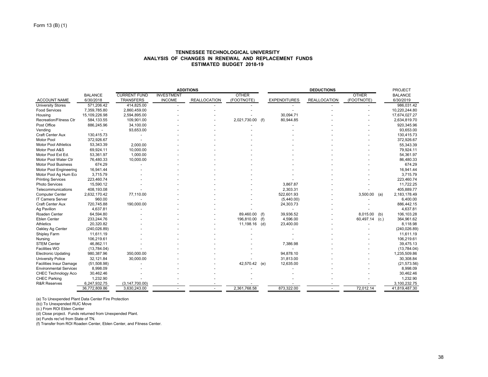## **TENNESSEE TECHNOLOGICAL UNIVERSITY ANALYSIS OF CHANGES IN RENEWAL AND REPLACEMENT FUNDSESTIMATED BUDGET 2018-19**

|                                |                |                     |                   | <b>ADDITIONS</b>    |                  |                     | <b>DEDUCTIONS</b>   |                | <b>PROJECT</b> |
|--------------------------------|----------------|---------------------|-------------------|---------------------|------------------|---------------------|---------------------|----------------|----------------|
|                                | <b>BALANCE</b> | <b>CURRENT FUND</b> | <b>INVESTMENT</b> |                     | <b>OTHER</b>     |                     |                     | <b>OTHER</b>   | <b>BALANCE</b> |
| <b>ACCOUNT NAME</b>            | 6/30/2018      | <b>TRANSFERS</b>    | <b>INCOME</b>     | <b>REALLOCATION</b> | (FOOTNOTE)       | <b>EXPENDITURES</b> | <b>REALLOCATION</b> | (FOOTNOTE)     | 6/30/2019      |
| <b>University Stores</b>       | 571,206.42     | 414,825.00          |                   |                     |                  |                     |                     |                | 986,031.42     |
| <b>Food Services</b>           | 7,359,785.80   | 2,860,459.00        |                   |                     |                  |                     |                     |                | 10,220,244.80  |
| Housing                        | 15,109,226.98  | 2,594,895.00        |                   |                     |                  | 30,094.71           |                     |                | 17,674,027.27  |
| <b>Recreation/Fitness Ctr</b>  | 584,133.55     | 109,901.00          |                   |                     | 2,021,730.00 (f) | 80,944.85           |                     |                | 2,634,819.70   |
| Post Office                    | 886,245.96     | 34.100.00           |                   |                     |                  |                     |                     |                | 920,345.96     |
| Vending                        |                | 93,653.00           |                   |                     |                  |                     |                     |                | 93,653.00      |
| Craft Center Aux               | 130,415.73     |                     |                   |                     |                  |                     |                     |                | 130,415.73     |
| Motor Pool                     | 372,926.67     |                     |                   |                     |                  |                     |                     |                | 372,926.67     |
| <b>Motor Pool Athletics</b>    | 53,343.39      | 2,000.00            |                   |                     |                  |                     |                     |                | 55,343.39      |
| Motor Pool A&S                 | 69,924.11      | 10,000.00           |                   |                     |                  |                     |                     |                | 79,924.11      |
| Motor Pool Ext Ed.             | 53,361.97      | 1,000.00            |                   |                     |                  |                     |                     |                | 54,361.97      |
| Motor Pool Water Ctr           | 76,480.33      | 10,000.00           |                   |                     |                  |                     |                     |                | 86,480.33      |
| <b>Motor Pool Business</b>     | 674.29         |                     |                   |                     |                  |                     |                     |                | 674.29         |
| Motor Pool Engineering         | 16,941.44      |                     |                   |                     |                  |                     |                     |                | 16,941.44      |
| Motor Pool Ag Hum Eco          | 3,715.79       |                     |                   |                     |                  |                     |                     |                | 3,715.79       |
| <b>Printing Services</b>       | 223,460.74     |                     |                   |                     |                  |                     |                     |                | 223,460.74     |
| <b>Photo Services</b>          | 15,590.12      |                     |                   |                     |                  | 3,867.87            |                     |                | 11,722.25      |
| Telecommunications             | 408,193.08     |                     |                   |                     |                  | 2,303.31            |                     |                | 405,889.77     |
| <b>Computer Center</b>         | 2,632,170.42   | 77,110.00           |                   |                     |                  | 522,601.93          |                     | $3,500.00$ (a) | 2,183,178.49   |
| IT Camera Server               | 960.00         |                     |                   |                     |                  | (5,440.00)          |                     |                | 6,400.00       |
| <b>Craft Center Aux</b>        | 720,745.88     | 190,000.00          |                   |                     |                  | 24,303.73           |                     |                | 886,442.15     |
| Ag Pavilion                    | 4,637.81       |                     |                   |                     |                  |                     |                     |                | 4,637.81       |
| Roaden Center                  | 64,594.80      |                     |                   |                     | 89,460.00 (f)    | 39,936.52           |                     | 8,015.00 (b)   | 106,103.28     |
| <b>Eblen Center</b>            | 233,244.76     |                     |                   |                     | 196,810.00 (f)   | 4,596.00            |                     | 60,497.14 (c.) | 364,961.62     |
| Athletics                      | 20,320.82      |                     |                   |                     | 11,198.16 (d)    | 23,400.00           |                     |                | 8,118.98       |
| Oakley Ag Center               | (240, 026.89)  |                     |                   |                     |                  |                     |                     |                | (240, 026.89)  |
| Shipley Farm                   | 11,611.19      |                     |                   |                     |                  |                     |                     |                | 11,611.19      |
| Nursing                        | 106,219.61     |                     |                   |                     |                  |                     |                     |                | 106,219.61     |
| <b>STEM Center</b>             | 46,862.11      |                     |                   |                     |                  | 7,386.98            |                     |                | 39,475.13      |
| Facilities WO                  | (13,784.04)    |                     |                   |                     |                  |                     |                     |                | (13,784.04)    |
| <b>Electronic Updating</b>     | 980,387.96     | 350,000.00          |                   |                     |                  | 94,878.10           |                     |                | 1,235,509.86   |
| <b>University Police</b>       | 32,121.84      | 30,000.00           |                   |                     |                  | 31,813.00           |                     |                | 30,308.84      |
| <b>Facilities Insur Damage</b> | (51,508.98)    |                     |                   |                     | 42,570.42 (e)    | 12,635.00           |                     |                | (21, 573.56)   |
| <b>Environmental Services</b>  | 8,998.09       |                     |                   |                     |                  |                     |                     |                | 8,998.09       |
| CHEC Technology Acc            | 30,462.46      |                     |                   |                     |                  |                     |                     |                | 30,462.46      |
| <b>CHEC Parking</b>            | 1,232.90       |                     |                   |                     |                  |                     |                     |                | 1,232.90       |
| <b>R&amp;R Reserves</b>        | 6,247,932.75   | (3, 147, 700.00)    |                   |                     |                  |                     |                     |                | 3,100,232.75   |
|                                | 36,772,809.86  | 3.630.243.00        |                   |                     | 2,361,768.58     | 873,322.00          |                     | 72,012.14      | 41,819,487.30  |

(a) To Unexpended Plant Data Center Fire Protection

(b)) To Unexpended RUC Move

(c.) From ROI Eblen Center

(d) Close project. Funds returned from Unexpended Plant.

(e) Funds rec'vd from State of TN.

(f) Transfer from ROI Roaden Center, Eblen Center, and Fitness Center.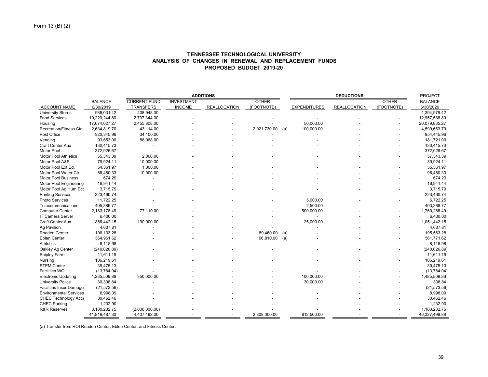|                                |                |                     |                   | <b>ADDITIONS</b>    |              |     | <b>PROJECT</b>      |                     |              |                |
|--------------------------------|----------------|---------------------|-------------------|---------------------|--------------|-----|---------------------|---------------------|--------------|----------------|
|                                | <b>BALANCE</b> | <b>CURRENT FUND</b> | <b>INVESTMENT</b> |                     | <b>OTHER</b> |     |                     |                     | <b>OTHER</b> | <b>BALANCE</b> |
| <b>ACCOUNT NAME</b>            | 6/30/2019      | <b>TRANSFERS</b>    | <b>INCOME</b>     | <b>REALLOCATION</b> | (FOOTNOTE)   |     | <b>EXPENDITURES</b> | <b>REALLOCATION</b> | (FOOTNOTE)   | 6/30/2020      |
| <b>University Stores</b>       | 986,031.42     | 408,948.00          |                   |                     |              |     |                     |                     |              | 1,394,979.42   |
| <b>Food Services</b>           | 10,220,244.80  | 2,737,344.00        |                   |                     |              |     |                     |                     |              | 12,957,588.80  |
| Housing                        | 17,674,027.27  | 2,455,808.00        |                   |                     |              |     | 50,000.00           |                     |              | 20,079,835.27  |
| <b>Recreation/Fitness Ctr</b>  | 2,634,819.70   | 43,114.00           |                   |                     | 2,021,730.00 | (a) | 100,000.00          |                     |              | 4,599,663.70   |
| Post Office                    | 920,345.96     | 34,100.00           |                   |                     |              |     |                     |                     |              | 954,445.96     |
| Vending                        | 93,653.00      | 88,068.00           |                   |                     |              |     |                     |                     |              | 181,721.00     |
| Craft Center Aux               | 130,415.73     |                     |                   |                     |              |     |                     |                     |              | 130,415.73     |
| <b>Motor Pool</b>              | 372,926.67     |                     |                   |                     |              |     |                     |                     |              | 372,926.67     |
| <b>Motor Pool Athletics</b>    | 55,343.39      | 2,000.00            |                   |                     |              |     |                     |                     |              | 57,343.39      |
| Motor Pool A&S                 | 79,924.11      | 10,000.00           |                   |                     |              |     |                     |                     |              | 89,924.11      |
| Motor Pool Ext Ed.             | 54,361.97      | 1,000.00            |                   |                     |              |     |                     |                     |              | 55,361.97      |
| Motor Pool Water Ctr           | 86.480.33      | 10,000.00           |                   |                     |              |     |                     |                     |              | 96.480.33      |
| <b>Motor Pool Business</b>     | 674.29         |                     |                   |                     |              |     |                     |                     |              | 674.29         |
| Motor Pool Engineering         | 16,941.44      |                     |                   |                     |              |     |                     |                     |              | 16,941.44      |
| Motor Pool Ag Hum Eco          | 3,715.79       |                     |                   |                     |              |     |                     |                     |              | 3,715.79       |
| <b>Printing Services</b>       | 223,460.74     |                     |                   |                     |              |     |                     |                     |              | 223,460.74     |
| Photo Services                 | 11,722.25      |                     |                   |                     |              |     | 5,000.00            |                     |              | 6.722.25       |
| Telecommunications             | 405,889.77     |                     |                   |                     |              |     | 2,500.00            |                     |              | 403,389.77     |
| <b>Computer Center</b>         | 2,183,178.49   | 77,110.00           |                   |                     |              |     | 500,000.00          |                     |              | 1,760,288.49   |
| <b>IT Camera Server</b>        | 6,400.00       |                     |                   |                     |              |     |                     |                     |              | 6,400.00       |
| Craft Center Aux               | 886,442.15     | 190,000.00          |                   |                     |              |     | 25,000.00           |                     |              | 1,051,442.15   |
| Ag Pavilion                    | 4,637.81       |                     |                   |                     |              |     |                     |                     |              | 4,637.81       |
| Roaden Center                  | 106,103.28     |                     |                   |                     | 89,460.00    | (a) |                     |                     |              | 195,563.28     |
| <b>Eblen Center</b>            | 364,961.62     |                     |                   |                     | 196,810.00   | (a) |                     |                     |              | 561,771.62     |
| <b>Athletics</b>               | 8,118.98       |                     |                   |                     |              |     |                     |                     |              | 8,118.98       |
| Oakley Ag Center               | (240, 026.89)  |                     |                   |                     |              |     |                     |                     |              | (240, 026.89)  |
| Shipley Farm                   | 11,611.19      |                     |                   |                     |              |     |                     |                     |              | 11,611.19      |
| Nursing                        | 106,219.61     |                     |                   |                     |              |     |                     |                     |              | 106,219.61     |
| <b>STEM Center</b>             | 39,475.13      |                     |                   |                     |              |     |                     |                     |              | 39,475.13      |
| Facilities WO                  | (13,784.04)    |                     |                   |                     |              |     |                     |                     |              | (13,784.04)    |
| <b>Electronic Updating</b>     | 1,235,509.86   | 350,000.00          |                   |                     |              |     | 100,000.00          |                     |              | 1,485,509.86   |
| <b>University Police</b>       | 30,308.84      |                     |                   |                     |              |     | 30,000.00           |                     |              | 308.84         |
| <b>Facilities Insur Damage</b> | (21, 573.56)   |                     |                   |                     |              |     |                     |                     |              | (21, 573.56)   |
| <b>Environmental Services</b>  | 8,998.09       |                     |                   |                     |              |     |                     |                     |              | 8,998.09       |
| <b>CHEC Technology Acco</b>    | 30,462.46      |                     |                   |                     |              |     |                     |                     |              | 30,462.46      |
| <b>CHEC Parking</b>            | 1,232.90       |                     |                   |                     |              |     |                     |                     |              | 1,232.90       |
| <b>R&amp;R Reserves</b>        | 3,100,232.75   | (2,000,000.00)      |                   |                     |              |     |                     |                     |              | 1,100,232.75   |
|                                | 41,819,487.30  | 4,407,492.00        |                   |                     | 2,308,000.00 |     | 812,500.00          |                     |              | 46,327,499.88  |

## **TENNESSEE TECHNOLOGICAL UNIVERSITY ANALYSIS OF CHANGES IN RENEWAL AND REPLACEMENT FUNDSPROPOSED BUDGET 2019-20**

(a) Transfer from ROI Roaden Center, Eblen Center, and Fitness Center.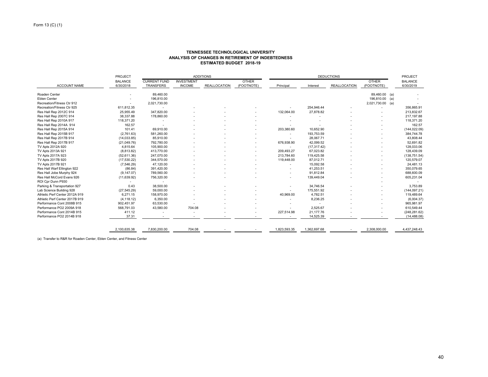#### **TENNESSEE TECHNOLOGICAL UNIVERSITY ANALYSIS OF CHANGES IN RETIREMENT OF INDEBTEDNESSESTIMATED BUDGET 2018-19**

|                                |                |                     | <b>ADDITIONS</b>         |                     | <b>DEDUCTIONS</b> |                          |              |                     | <b>PROJECT</b>   |                |        |
|--------------------------------|----------------|---------------------|--------------------------|---------------------|-------------------|--------------------------|--------------|---------------------|------------------|----------------|--------|
|                                | <b>BALANCE</b> | <b>CURRENT FUND</b> | <b>INVESTMENT</b>        |                     | <b>OTHER</b>      |                          |              |                     | <b>OTHER</b>     | <b>BALANCE</b> |        |
| <b>ACCOUNT NAME</b>            | 6/30/2018      | <b>TRANSFERS</b>    | <b>INCOME</b>            | <b>REALLOCATION</b> | (FOOTNOTE)        | Principal                | Interest     | <b>REALLOCATION</b> | (FOOTNOTE)       | 6/30/2019      |        |
| Roaden Center                  |                | 89.460.00           |                          |                     |                   |                          |              |                     | 89,460.00 (a)    |                |        |
| <b>Eblen Center</b>            |                | 196,810.00          |                          |                     |                   |                          |              |                     | 196,810.00 (a)   |                |        |
| Recreation/Fitness Ctr 912     | $\blacksquare$ | 2,021,730.00        |                          |                     |                   |                          |              |                     | 2,021,730.00 (a) |                |        |
| Recreation/Fitness Ctr 925     | 611,812.35     |                     |                          |                     |                   |                          | 254,946.44   |                     |                  | 356,865.91     |        |
| Res Hall Rep 2012C 914         | 25,955.49      | 347,820.00          |                          |                     |                   | 132,064.00               | 27,878.82    |                     |                  | 213,832.67     |        |
| Res Hall Rep 2007C 914         | 38,337.88      | 178,860.00          |                          |                     |                   |                          |              |                     |                  | 217,197.88     |        |
| Res Hall Rep 2010A 917         | 118,371.20     |                     |                          |                     |                   |                          |              |                     |                  | 118,371.20     |        |
| Res Hall Rep 2014A 914         | 162.57         |                     |                          |                     |                   |                          |              |                     |                  |                | 162.57 |
| Res Hall Rep 2015A 914         | 101.41         | 69,910.00           |                          |                     |                   | 203,380.60               | 10,652.90    |                     |                  | (144, 022.09)  |        |
| Res Hall Rep 2015B 917         | (2,761.63)     | 581,260.00          |                          |                     |                   |                          | 193,753.59   |                     |                  | 384,744.78     |        |
| Res Hall Rep 2017B 914         | (14,033.85)    | 85,910.00           |                          |                     |                   |                          | 28,067.71    |                     |                  | 43,808.44      |        |
| Res Hall Rep 2017B 917         | (21,049.76)    | 792,780.00          |                          |                     |                   | 676,938.90               | 42,099.52    |                     |                  | 52,691.82      |        |
| TV Apts 2012A 920              | 4,815.64       | 105,900.00          |                          |                     |                   | $\overline{\phantom{a}}$ | (17, 317.42) |                     |                  | 128,033.06     |        |
| TV Apts 2013A 921              | (8,813.82)     | 413,770.00          |                          |                     |                   | 209,493.27               | 67,023.82    |                     |                  | 128,439.09     |        |
| TV Apts 2017A 923              | (52,611.36)    | 247,070.00          |                          |                     |                   | 213,784.60               | 119,425.58   |                     |                  | (138, 751.54)  |        |
| TV Apts 2017B 920              | (17, 530.22)   | 344,570.00          |                          |                     |                   | 119,448.00               | 87,012.71    |                     |                  | 120,579.07     |        |
| TV Apts 2017B 921              | (7,546.29)     | 47,120.00           |                          |                     |                   |                          | 15,092.58    |                     |                  | 24,481.13      |        |
| Res Hall Warf Ellington 922    | (86.84)        | 391,420.00          |                          |                     |                   |                          | 41,253.51    |                     |                  | 350,079.65     |        |
| Res Hall Jobe Murphy 924       | (9, 147.07)    | 789,560.00          |                          |                     |                   |                          | 91,812.84    |                     |                  | 688,600.09     |        |
| Res Hall McCord Evans 926      | (11, 639.92)   | 756,320.00          |                          |                     |                   |                          | 139,449.04   |                     |                  | 605,231.04     |        |
| ROI Cpr Dunn P930              |                |                     |                          |                     |                   |                          |              |                     |                  |                |        |
| Parking & Transportation 927   | 0.43           | 38,500.00           |                          |                     |                   |                          | 34,746.54    |                     |                  | 3,753.89       |        |
| Lab Science Building 928       | (27, 545.29)   | 59,000.00           |                          |                     |                   |                          | 175,551.92   |                     |                  | (144, 097.21)  |        |
| Athletic Perf Center 2012A 919 | 6,271.15       | 158,970.00          |                          |                     |                   | 40,969.00                | 4,782.51     |                     |                  | 119,489.64     |        |
| Athletic Perf Center 2017B 919 | (4, 118.12)    | 6,350.00            |                          |                     |                   |                          | 8,236.25     |                     |                  | (6,004.37)     |        |
| Performance Cont 2008B 915     | 902,451.97     | 63,530.00           |                          |                     |                   |                          |              |                     |                  | 965,981.97     |        |
| Performance PO2 2009A 918      | 568.791.03     | 43,580.00           | 704.08                   |                     |                   |                          | 2,525.67     |                     |                  | 610.549.44     |        |
| Performance Cont 2014B 915     | 411.12         |                     | $\overline{\phantom{a}}$ |                     |                   | 227,514.98               | 21,177.76    |                     |                  | (248, 281.62)  |        |
| Performance PO2 2014B 918      | 37.31          |                     | $\overline{\phantom{a}}$ |                     |                   |                          | 14,525.39    |                     |                  | (14, 488.08)   |        |

(a) Transfer to R&R for Roaden Center, Eblen Center, and Fitness Center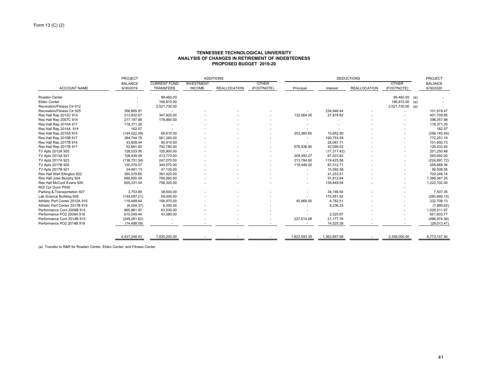#### **TENNESSEE TECHNOLOGICAL UNIVERSITY ANALYSIS OF CHANGES IN RETIREMENT OF INDEBTEDNESS PROPOSED BUDGET 2019-20**

| <b>BALANCE</b><br><b>ACCOUNT NAME</b><br>6/30/2019<br>Roaden Center<br>Eblen Center<br>Recreation/Fitness Ctr 912<br>Recreation/Fitness Ctr 925<br>356,865.91<br>Res Hall Rep 2012C 914<br>213,832.67<br>Res Hall Rep 2007C 914<br>217,197.88<br>Res Hall Rep 2010A 917<br>118,371.20<br>Res Hall Rep 2014A 914<br>(144, 022.09)<br>Res Hall Rep 2015A 914 | <b>CURRENT FUND</b><br>TRANSFERS<br>89,460.00<br>196.810.00<br>2,021,730.00<br>$\sim$<br>347,820.00<br>178,860.00<br>162.57<br>69,910.00 | <b>INVESTMENT</b><br><b>INCOME</b> | <b>REALLOCATION</b> | <b>OTHER</b><br>(FOOTNOTE) | Principal<br>132,064.00  | Interest<br>254,946.44<br>27,878.82 | <b>REALLOCATION</b> | <b>OTHER</b><br>(FOOTNOTE)<br>89,460.00 (a)<br>196,810.00 (a)<br>2,021,730.00 (a) | <b>BALANCE</b><br>6/30/2020<br>101,919.47 |
|------------------------------------------------------------------------------------------------------------------------------------------------------------------------------------------------------------------------------------------------------------------------------------------------------------------------------------------------------------|------------------------------------------------------------------------------------------------------------------------------------------|------------------------------------|---------------------|----------------------------|--------------------------|-------------------------------------|---------------------|-----------------------------------------------------------------------------------|-------------------------------------------|
|                                                                                                                                                                                                                                                                                                                                                            |                                                                                                                                          |                                    |                     |                            |                          |                                     |                     |                                                                                   |                                           |
|                                                                                                                                                                                                                                                                                                                                                            |                                                                                                                                          |                                    |                     |                            |                          |                                     |                     |                                                                                   |                                           |
|                                                                                                                                                                                                                                                                                                                                                            |                                                                                                                                          |                                    |                     |                            |                          |                                     |                     |                                                                                   |                                           |
|                                                                                                                                                                                                                                                                                                                                                            |                                                                                                                                          |                                    |                     |                            |                          |                                     |                     |                                                                                   |                                           |
|                                                                                                                                                                                                                                                                                                                                                            |                                                                                                                                          |                                    |                     |                            |                          |                                     |                     |                                                                                   |                                           |
|                                                                                                                                                                                                                                                                                                                                                            |                                                                                                                                          |                                    |                     |                            |                          |                                     |                     |                                                                                   | 401,709.85                                |
|                                                                                                                                                                                                                                                                                                                                                            |                                                                                                                                          |                                    |                     |                            |                          |                                     |                     |                                                                                   | 396,057.88                                |
|                                                                                                                                                                                                                                                                                                                                                            |                                                                                                                                          |                                    |                     |                            |                          |                                     |                     |                                                                                   | 118,371.20                                |
|                                                                                                                                                                                                                                                                                                                                                            |                                                                                                                                          |                                    |                     |                            |                          |                                     |                     |                                                                                   | 162.57                                    |
|                                                                                                                                                                                                                                                                                                                                                            |                                                                                                                                          |                                    |                     |                            | 203,380.60               | 10,652.90                           |                     |                                                                                   | (288, 145.59)                             |
| 384,744.78<br>Res Hall Rep 2015B 917                                                                                                                                                                                                                                                                                                                       | 581,260.00                                                                                                                               |                                    |                     |                            | ٠                        | 193,753.59                          |                     |                                                                                   | 772,251.19                                |
| Res Hall Rep 2017B 914<br>43,808.44                                                                                                                                                                                                                                                                                                                        | 85,910.00                                                                                                                                |                                    |                     |                            | $\overline{\phantom{a}}$ | 28,067.71                           |                     |                                                                                   | 101,650.73                                |
| 52,691.82<br>Res Hall Rep 2017B 917                                                                                                                                                                                                                                                                                                                        | 792,780.00                                                                                                                               |                                    |                     |                            | 676,938.90               | 42,099.52                           |                     |                                                                                   | 126,433.40                                |
| TV Apts 2012A 920<br>128,033.06                                                                                                                                                                                                                                                                                                                            | 105,900.00                                                                                                                               |                                    |                     |                            | $\overline{\phantom{a}}$ | (17, 317.42)                        |                     |                                                                                   | 251,250.48                                |
| TV Apts 2013A 921<br>128,439.09                                                                                                                                                                                                                                                                                                                            | 413,770.00                                                                                                                               |                                    |                     |                            | 209.493.27               | 67,023.82                           |                     |                                                                                   | 265,692.00                                |
| (138, 751.54)<br>TV Apts 2017A 923                                                                                                                                                                                                                                                                                                                         | 247,070.00                                                                                                                               |                                    |                     |                            | 213,784.60               | 119,425.58                          |                     |                                                                                   | (224, 891.72)                             |
| TV Apts 2017B 920<br>120,579.07                                                                                                                                                                                                                                                                                                                            | 344,570.00                                                                                                                               |                                    |                     |                            | 119,448.00               | 87,012.71                           |                     |                                                                                   | 258,688.36                                |
| 24,481.13<br>TV Apts 2017B 921                                                                                                                                                                                                                                                                                                                             | 47,120.00                                                                                                                                |                                    |                     |                            |                          | 15,092.58                           |                     |                                                                                   | 56,508.55                                 |
| 350,079.65<br>Res Hall Warf Ellington 922                                                                                                                                                                                                                                                                                                                  | 391,420.00                                                                                                                               |                                    |                     |                            |                          | 41,253.51                           |                     |                                                                                   | 700,246.14                                |
| Res Hall Jobe Murphy 924<br>688,600.09                                                                                                                                                                                                                                                                                                                     | 789,560.00                                                                                                                               |                                    |                     |                            |                          | 91,812.84                           |                     |                                                                                   | 1,386,347.25                              |
| Res Hall McCord Evans 926<br>605,231.04                                                                                                                                                                                                                                                                                                                    | 756,320.00                                                                                                                               |                                    |                     |                            |                          | 139,449.04                          |                     |                                                                                   | 1,222,102.00                              |
| ROI Cpr Dunn P930                                                                                                                                                                                                                                                                                                                                          | $\overline{\phantom{a}}$                                                                                                                 |                                    |                     |                            |                          |                                     |                     |                                                                                   |                                           |
| Parking & Transportation 927<br>3,753.89                                                                                                                                                                                                                                                                                                                   | 38,500.00                                                                                                                                |                                    |                     |                            |                          | 34.746.54                           |                     |                                                                                   | 7,507.35                                  |
| Lab Science Building 928<br>(144, 097.21)                                                                                                                                                                                                                                                                                                                  | 59.000.00                                                                                                                                |                                    |                     |                            |                          | 175,551.92                          |                     |                                                                                   | (260, 649.13)                             |
| Athletic Perf Center 2012A 919<br>119,489.64                                                                                                                                                                                                                                                                                                               | 158,970.00                                                                                                                               |                                    |                     |                            | 40,969.00                | 4,782.51                            |                     |                                                                                   | 232,708.13                                |
| Athletic Perf Center 2017B 919<br>(6,004.37)                                                                                                                                                                                                                                                                                                               | 6,350.00                                                                                                                                 |                                    |                     |                            |                          | 8,236.25                            |                     |                                                                                   | (7,890.62)                                |
| Performance Cont 2008B 915<br>965,981.97                                                                                                                                                                                                                                                                                                                   | 63,530.00                                                                                                                                |                                    |                     |                            |                          |                                     |                     |                                                                                   | 1,029,511.97                              |
| Performance PO2 2009A 918<br>610.549.44                                                                                                                                                                                                                                                                                                                    | 43,580.00                                                                                                                                |                                    |                     |                            | ٠                        | 2.525.67                            |                     |                                                                                   | 651.603.77                                |
| Performance Cont 2014B 915<br>(248, 281.62)                                                                                                                                                                                                                                                                                                                |                                                                                                                                          |                                    |                     |                            | 227,514.98               | 21,177.76                           |                     |                                                                                   | (496, 974.36)                             |
| Performance PO2 2014B 918<br>(14, 488.08)                                                                                                                                                                                                                                                                                                                  |                                                                                                                                          |                                    |                     |                            |                          | 14,525.39                           |                     |                                                                                   | (29,013.47)                               |
| 4,437,248.43                                                                                                                                                                                                                                                                                                                                               | 7,830,200.00                                                                                                                             |                                    |                     |                            | 1,823,593.35             | 1,362,697.68                        |                     | 2,308,000.00                                                                      | 6,773,157.40                              |

(a) Transfer to R&R for Roaden Center, Eblen Center, and Fitness Center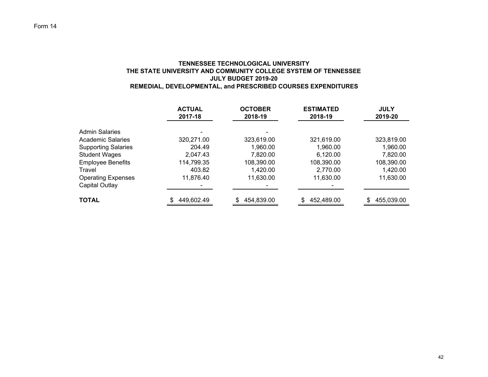# **TENNESSEE TECHNOLOGICAL UNIVERSITY THE STATE UNIVERSITY AND COMMUNITY COLLEGE SYSTEM OF TENNESSEE JULY BUDGET 2019-20REMEDIAL, DEVELOPMENTAL, and PRESCRIBED COURSES EXPENDITURES**

|                                            | <b>ACTUAL</b><br>2017-18 | <b>OCTOBER</b><br>2018-19 | <b>ESTIMATED</b><br>2018-19 | <b>JULY</b><br>2019-20 |
|--------------------------------------------|--------------------------|---------------------------|-----------------------------|------------------------|
| <b>Admin Salaries</b><br>Academic Salaries | 320,271.00               | 323,619.00                | 321,619.00                  | 323,819.00             |
| <b>Supporting Salaries</b>                 | 204.49                   | 1,960.00                  | 1,960.00                    | 1,960.00               |
| <b>Student Wages</b>                       | 2,047.43                 | 7,820.00                  | 6,120.00                    | 7,820.00               |
| <b>Employee Benefits</b>                   | 114,799.35               | 108,390.00                | 108,390.00                  | 108,390.00             |
| Travel                                     | 403.82                   | 1,420.00                  | 2,770.00                    | 1,420.00               |
| <b>Operating Expenses</b>                  | 11,876.40                | 11,630.00                 | 11,630.00                   | 11,630.00              |
| Capital Outlay                             |                          |                           |                             |                        |
| <b>TOTAL</b>                               | 449,602.49               | 454,839.00                | 452,489.00                  | 455,039.00<br>\$.      |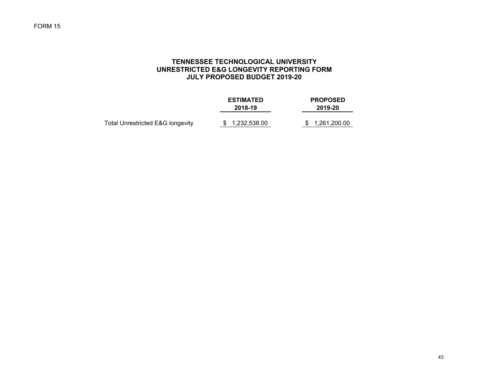# **TENNESSEE TECHNOLOGICAL UNIVERSITY UNRESTRICTED E&G LONGEVITY REPORTING FORM JULY PROPOSED BUDGET 2019-20**

|                                  | <b>ESTIMATED</b><br>2018-19 | <b>PROPOSED</b><br>2019-20 |
|----------------------------------|-----------------------------|----------------------------|
| Total Unrestricted E&G longevity | \$1,232,538.00              | \$ 1,261,200.00            |